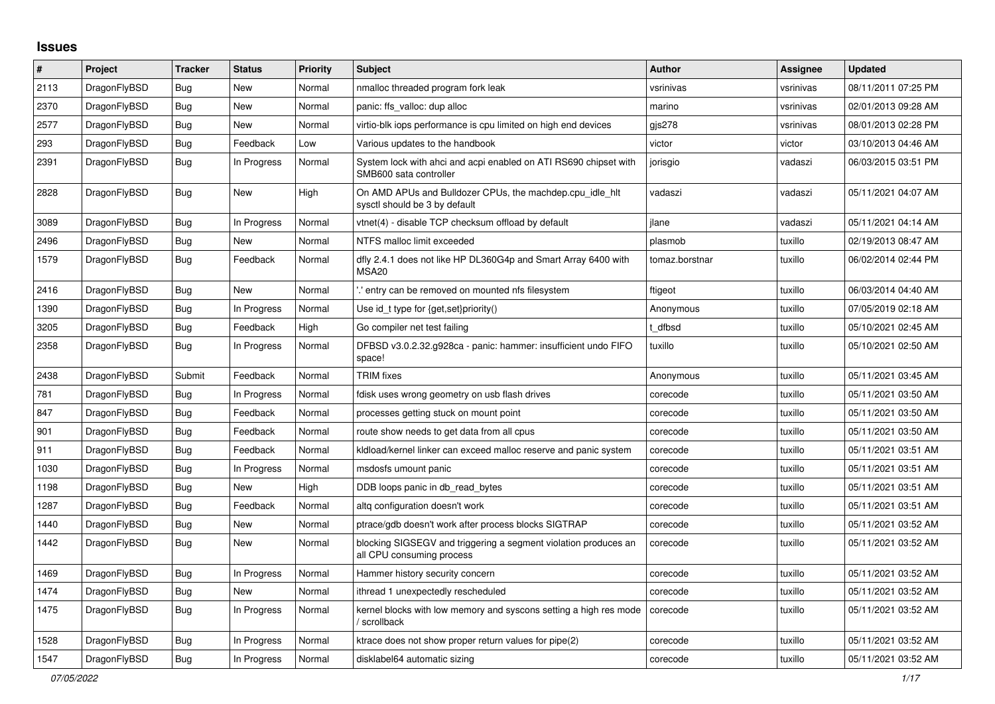## **Issues**

| $\#$ | Project      | <b>Tracker</b> | <b>Status</b> | <b>Priority</b> | <b>Subject</b>                                                                               | <b>Author</b>  | Assignee  | Updated             |
|------|--------------|----------------|---------------|-----------------|----------------------------------------------------------------------------------------------|----------------|-----------|---------------------|
| 2113 | DragonFlyBSD | <b>Bug</b>     | New           | Normal          | nmalloc threaded program fork leak                                                           | vsrinivas      | vsrinivas | 08/11/2011 07:25 PM |
| 2370 | DragonFlyBSD | Bug            | New           | Normal          | panic: ffs valloc: dup alloc                                                                 | marino         | vsrinivas | 02/01/2013 09:28 AM |
| 2577 | DragonFlyBSD | <b>Bug</b>     | New           | Normal          | virtio-blk iops performance is cpu limited on high end devices                               | gjs278         | vsrinivas | 08/01/2013 02:28 PM |
| 293  | DragonFlyBSD | Bug            | Feedback      | Low             | Various updates to the handbook                                                              | victor         | victor    | 03/10/2013 04:46 AM |
| 2391 | DragonFlyBSD | <b>Bug</b>     | In Progress   | Normal          | System lock with ahci and acpi enabled on ATI RS690 chipset with<br>SMB600 sata controller   | jorisgio       | vadaszi   | 06/03/2015 03:51 PM |
| 2828 | DragonFlyBSD | <b>Bug</b>     | New           | High            | On AMD APUs and Bulldozer CPUs, the machdep.cpu idle hit<br>sysctl should be 3 by default    | vadaszi        | vadaszi   | 05/11/2021 04:07 AM |
| 3089 | DragonFlyBSD | <b>Bug</b>     | In Progress   | Normal          | vtnet(4) - disable TCP checksum offload by default                                           | ilane          | vadaszi   | 05/11/2021 04:14 AM |
| 2496 | DragonFlyBSD | Bug            | New           | Normal          | NTFS malloc limit exceeded                                                                   | plasmob        | tuxillo   | 02/19/2013 08:47 AM |
| 1579 | DragonFlyBSD | Bug            | Feedback      | Normal          | dfly 2.4.1 does not like HP DL360G4p and Smart Array 6400 with<br>MSA <sub>20</sub>          | tomaz.borstnar | tuxillo   | 06/02/2014 02:44 PM |
| 2416 | DragonFlyBSD | <b>Bug</b>     | New           | Normal          | ".' entry can be removed on mounted nfs filesystem                                           | ftigeot        | tuxillo   | 06/03/2014 04:40 AM |
| 1390 | DragonFlyBSD | Bug            | In Progress   | Normal          | Use id_t type for {get, set}priority()                                                       | Anonymous      | tuxillo   | 07/05/2019 02:18 AM |
| 3205 | DragonFlyBSD | Bug            | Feedback      | High            | Go compiler net test failing                                                                 | t dfbsd        | tuxillo   | 05/10/2021 02:45 AM |
| 2358 | DragonFlyBSD | Bug            | In Progress   | Normal          | DFBSD v3.0.2.32.g928ca - panic: hammer: insufficient undo FIFO<br>space!                     | tuxillo        | tuxillo   | 05/10/2021 02:50 AM |
| 2438 | DragonFlyBSD | Submit         | Feedback      | Normal          | <b>TRIM</b> fixes                                                                            | Anonymous      | tuxillo   | 05/11/2021 03:45 AM |
| 781  | DragonFlyBSD | Bug            | In Progress   | Normal          | fdisk uses wrong geometry on usb flash drives                                                | corecode       | tuxillo   | 05/11/2021 03:50 AM |
| 847  | DragonFlyBSD | <b>Bug</b>     | Feedback      | Normal          | processes getting stuck on mount point                                                       | corecode       | tuxillo   | 05/11/2021 03:50 AM |
| 901  | DragonFlyBSD | <b>Bug</b>     | Feedback      | Normal          | route show needs to get data from all cpus                                                   | corecode       | tuxillo   | 05/11/2021 03:50 AM |
| 911  | DragonFlyBSD | <b>Bug</b>     | Feedback      | Normal          | kldload/kernel linker can exceed malloc reserve and panic system                             | corecode       | tuxillo   | 05/11/2021 03:51 AM |
| 1030 | DragonFlyBSD | Bug            | In Progress   | Normal          | msdosfs umount panic                                                                         | corecode       | tuxillo   | 05/11/2021 03:51 AM |
| 1198 | DragonFlyBSD | Bug            | <b>New</b>    | High            | DDB loops panic in db read bytes                                                             | corecode       | tuxillo   | 05/11/2021 03:51 AM |
| 1287 | DragonFlyBSD | Bug            | Feedback      | Normal          | altg configuration doesn't work                                                              | corecode       | tuxillo   | 05/11/2021 03:51 AM |
| 1440 | DragonFlyBSD | Bug            | <b>New</b>    | Normal          | ptrace/gdb doesn't work after process blocks SIGTRAP                                         | corecode       | tuxillo   | 05/11/2021 03:52 AM |
| 1442 | DragonFlyBSD | Bug            | New           | Normal          | blocking SIGSEGV and triggering a segment violation produces an<br>all CPU consuming process | corecode       | tuxillo   | 05/11/2021 03:52 AM |
| 1469 | DragonFlyBSD | Bug            | In Progress   | Normal          | Hammer history security concern                                                              | corecode       | tuxillo   | 05/11/2021 03:52 AM |
| 1474 | DragonFlyBSD | <b>Bug</b>     | New           | Normal          | ithread 1 unexpectedly rescheduled                                                           | corecode       | tuxillo   | 05/11/2021 03:52 AM |
| 1475 | DragonFlyBSD | Bug            | In Progress   | Normal          | kernel blocks with low memory and syscons setting a high res mode<br>/ scrollback            | corecode       | tuxillo   | 05/11/2021 03:52 AM |
| 1528 | DragonFlyBSD | <b>Bug</b>     | In Progress   | Normal          | ktrace does not show proper return values for pipe(2)                                        | corecode       | tuxillo   | 05/11/2021 03:52 AM |
| 1547 | DragonFlyBSD | Bug            | In Progress   | Normal          | disklabel64 automatic sizing                                                                 | corecode       | tuxillo   | 05/11/2021 03:52 AM |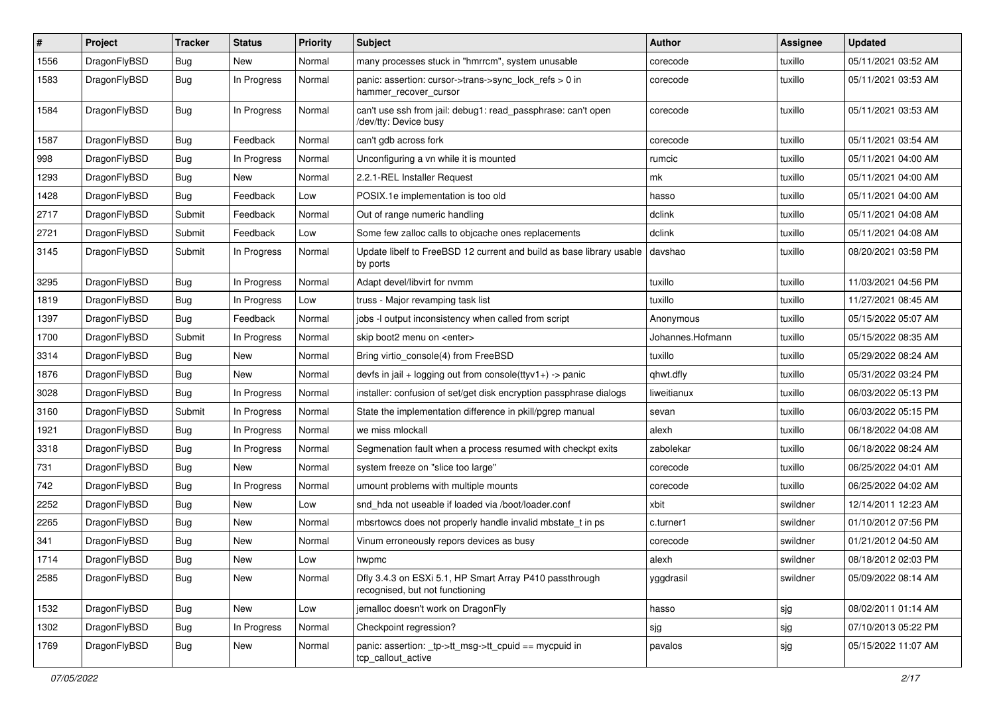| #    | Project      | <b>Tracker</b> | <b>Status</b> | <b>Priority</b> | Subject                                                                                    | Author           | Assignee | <b>Updated</b>      |
|------|--------------|----------------|---------------|-----------------|--------------------------------------------------------------------------------------------|------------------|----------|---------------------|
| 1556 | DragonFlyBSD | Bug            | New           | Normal          | many processes stuck in "hmrrcm", system unusable                                          | corecode         | tuxillo  | 05/11/2021 03:52 AM |
| 1583 | DragonFlyBSD | <b>Bug</b>     | In Progress   | Normal          | panic: assertion: cursor->trans->sync_lock_refs > 0 in<br>hammer_recover_cursor            | corecode         | tuxillo  | 05/11/2021 03:53 AM |
| 1584 | DragonFlyBSD | Bug            | In Progress   | Normal          | can't use ssh from jail: debug1: read passphrase: can't open<br>/dev/tty: Device busy      | corecode         | tuxillo  | 05/11/2021 03:53 AM |
| 1587 | DragonFlyBSD | <b>Bug</b>     | Feedback      | Normal          | can't gdb across fork                                                                      | corecode         | tuxillo  | 05/11/2021 03:54 AM |
| 998  | DragonFlyBSD | <b>Bug</b>     | In Progress   | Normal          | Unconfiguring a vn while it is mounted                                                     | rumcic           | tuxillo  | 05/11/2021 04:00 AM |
| 1293 | DragonFlyBSD | <b>Bug</b>     | New           | Normal          | 2.2.1-REL Installer Request                                                                | mk               | tuxillo  | 05/11/2021 04:00 AM |
| 1428 | DragonFlyBSD | <b>Bug</b>     | Feedback      | Low             | POSIX.1e implementation is too old                                                         | hasso            | tuxillo  | 05/11/2021 04:00 AM |
| 2717 | DragonFlyBSD | Submit         | Feedback      | Normal          | Out of range numeric handling                                                              | dclink           | tuxillo  | 05/11/2021 04:08 AM |
| 2721 | DragonFlyBSD | Submit         | Feedback      | Low             | Some few zalloc calls to objcache ones replacements                                        | dclink           | tuxillo  | 05/11/2021 04:08 AM |
| 3145 | DragonFlyBSD | Submit         | In Progress   | Normal          | Update libelf to FreeBSD 12 current and build as base library usable<br>by ports           | davshao          | tuxillo  | 08/20/2021 03:58 PM |
| 3295 | DragonFlyBSD | <b>Bug</b>     | In Progress   | Normal          | Adapt devel/libvirt for nvmm                                                               | tuxillo          | tuxillo  | 11/03/2021 04:56 PM |
| 1819 | DragonFlyBSD | <b>Bug</b>     | In Progress   | Low             | truss - Major revamping task list                                                          | tuxillo          | tuxillo  | 11/27/2021 08:45 AM |
| 1397 | DragonFlyBSD | <b>Bug</b>     | Feedback      | Normal          | jobs -I output inconsistency when called from script                                       | Anonymous        | tuxillo  | 05/15/2022 05:07 AM |
| 1700 | DragonFlyBSD | Submit         | In Progress   | Normal          | skip boot2 menu on <enter></enter>                                                         | Johannes.Hofmann | tuxillo  | 05/15/2022 08:35 AM |
| 3314 | DragonFlyBSD | Bug            | New           | Normal          | Bring virtio_console(4) from FreeBSD                                                       | tuxillo          | tuxillo  | 05/29/2022 08:24 AM |
| 1876 | DragonFlyBSD | <b>Bug</b>     | New           | Normal          | devfs in jail + logging out from console(ttyv1+) -> panic                                  | qhwt.dfly        | tuxillo  | 05/31/2022 03:24 PM |
| 3028 | DragonFlyBSD | <b>Bug</b>     | In Progress   | Normal          | installer: confusion of set/get disk encryption passphrase dialogs                         | liweitianux      | tuxillo  | 06/03/2022 05:13 PM |
| 3160 | DragonFlyBSD | Submit         | In Progress   | Normal          | State the implementation difference in pkill/pgrep manual                                  | sevan            | tuxillo  | 06/03/2022 05:15 PM |
| 1921 | DragonFlyBSD | <b>Bug</b>     | In Progress   | Normal          | we miss mlockall                                                                           | alexh            | tuxillo  | 06/18/2022 04:08 AM |
| 3318 | DragonFlyBSD | Bug            | In Progress   | Normal          | Segmenation fault when a process resumed with checkpt exits                                | zabolekar        | tuxillo  | 06/18/2022 08:24 AM |
| 731  | DragonFlyBSD | <b>Bug</b>     | New           | Normal          | system freeze on "slice too large"                                                         | corecode         | tuxillo  | 06/25/2022 04:01 AM |
| 742  | DragonFlyBSD | <b>Bug</b>     | In Progress   | Normal          | umount problems with multiple mounts                                                       | corecode         | tuxillo  | 06/25/2022 04:02 AM |
| 2252 | DragonFlyBSD | Bug            | <b>New</b>    | Low             | snd_hda not useable if loaded via /boot/loader.conf                                        | xbit             | swildner | 12/14/2011 12:23 AM |
| 2265 | DragonFlyBSD | <b>Bug</b>     | <b>New</b>    | Normal          | mbsrtowcs does not properly handle invalid mbstate t in ps                                 | c.turner1        | swildner | 01/10/2012 07:56 PM |
| 341  | DragonFlyBSD | <b>Bug</b>     | New           | Normal          | Vinum erroneously repors devices as busy                                                   | corecode         | swildner | 01/21/2012 04:50 AM |
| 1714 | DragonFlyBSD | Bug            | <b>New</b>    | Low             | hwpmc                                                                                      | alexh            | swildner | 08/18/2012 02:03 PM |
| 2585 | DragonFlyBSD | Bug            | New           | Normal          | Dfly 3.4.3 on ESXi 5.1, HP Smart Array P410 passthrough<br>recognised, but not functioning | yggdrasil        | swildner | 05/09/2022 08:14 AM |
| 1532 | DragonFlyBSD | Bug            | New           | Low             | jemalloc doesn't work on DragonFly                                                         | hasso            | sjg      | 08/02/2011 01:14 AM |
| 1302 | DragonFlyBSD | <b>Bug</b>     | In Progress   | Normal          | Checkpoint regression?                                                                     | sjg              | sjg      | 07/10/2013 05:22 PM |
| 1769 | DragonFlyBSD | Bug            | New           | Normal          | panic: assertion: _tp->tt_msg->tt_cpuid == mycpuid in<br>tcp_callout_active                | pavalos          | sjg      | 05/15/2022 11:07 AM |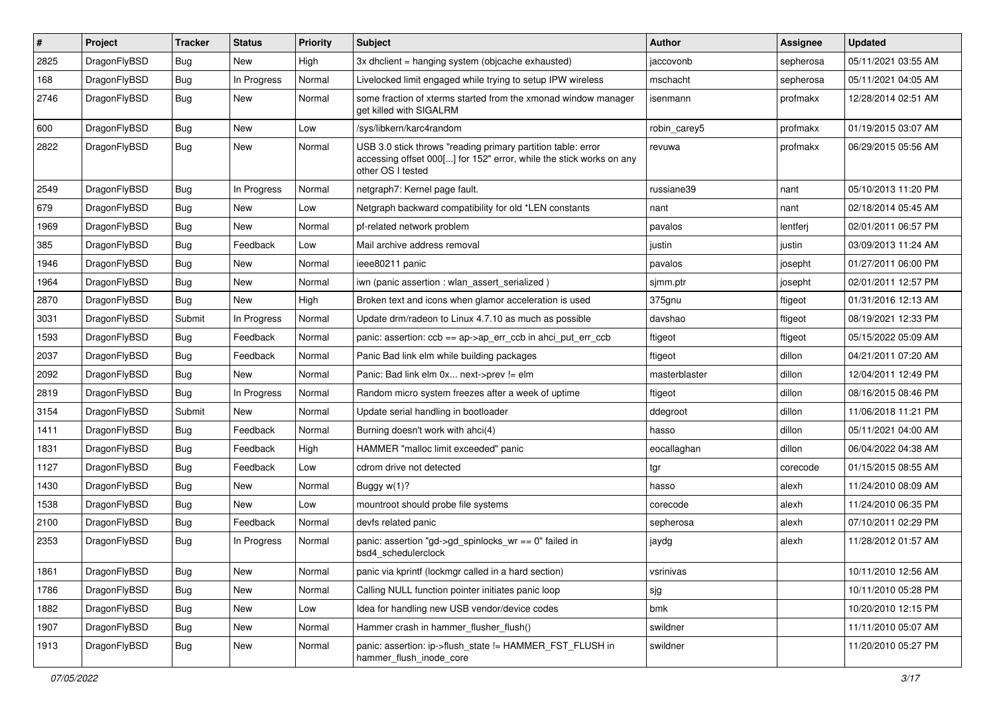| $\vert$ # | Project      | <b>Tracker</b> | <b>Status</b> | <b>Priority</b> | <b>Subject</b>                                                                                                                                           | Author        | Assignee  | <b>Updated</b>      |
|-----------|--------------|----------------|---------------|-----------------|----------------------------------------------------------------------------------------------------------------------------------------------------------|---------------|-----------|---------------------|
| 2825      | DragonFlyBSD | Bug            | <b>New</b>    | High            | 3x dhclient = hanging system (objcache exhausted)                                                                                                        | jaccovonb     | sepherosa | 05/11/2021 03:55 AM |
| 168       | DragonFlyBSD | <b>Bug</b>     | In Progress   | Normal          | Livelocked limit engaged while trying to setup IPW wireless                                                                                              | mschacht      | sepherosa | 05/11/2021 04:05 AM |
| 2746      | DragonFlyBSD | <b>Bug</b>     | <b>New</b>    | Normal          | some fraction of xterms started from the xmonad window manager<br>get killed with SIGALRM                                                                | isenmann      | profmakx  | 12/28/2014 02:51 AM |
| 600       | DragonFlyBSD | <b>Bug</b>     | <b>New</b>    | Low             | /sys/libkern/karc4random                                                                                                                                 | robin_carey5  | profmakx  | 01/19/2015 03:07 AM |
| 2822      | DragonFlyBSD | <b>Bug</b>     | New           | Normal          | USB 3.0 stick throws "reading primary partition table: error<br>accessing offset 000[] for 152" error, while the stick works on any<br>other OS I tested | revuwa        | profmakx  | 06/29/2015 05:56 AM |
| 2549      | DragonFlyBSD | <b>Bug</b>     | In Progress   | Normal          | netgraph7: Kernel page fault.                                                                                                                            | russiane39    | nant      | 05/10/2013 11:20 PM |
| 679       | DragonFlyBSD | <b>Bug</b>     | <b>New</b>    | Low             | Netgraph backward compatibility for old *LEN constants                                                                                                   | nant          | nant      | 02/18/2014 05:45 AM |
| 1969      | DragonFlyBSD | <b>Bug</b>     | New           | Normal          | pf-related network problem                                                                                                                               | pavalos       | lentferj  | 02/01/2011 06:57 PM |
| 385       | DragonFlyBSD | <b>Bug</b>     | Feedback      | Low             | Mail archive address removal                                                                                                                             | justin        | justin    | 03/09/2013 11:24 AM |
| 1946      | DragonFlyBSD | <b>Bug</b>     | <b>New</b>    | Normal          | ieee80211 panic                                                                                                                                          | pavalos       | josepht   | 01/27/2011 06:00 PM |
| 1964      | DragonFlyBSD | <b>Bug</b>     | New           | Normal          | iwn (panic assertion : wlan assert serialized)                                                                                                           | sjmm.ptr      | josepht   | 02/01/2011 12:57 PM |
| 2870      | DragonFlyBSD | Bug            | <b>New</b>    | High            | Broken text and icons when glamor acceleration is used                                                                                                   | 375gnu        | ftigeot   | 01/31/2016 12:13 AM |
| 3031      | DragonFlyBSD | Submit         | In Progress   | Normal          | Update drm/radeon to Linux 4.7.10 as much as possible                                                                                                    | davshao       | ftigeot   | 08/19/2021 12:33 PM |
| 1593      | DragonFlyBSD | Bug            | Feedback      | Normal          | panic: assertion: $ccb == ap \rightarrow ap$ err $ccb$ in ahci put err $ccb$                                                                             | ftigeot       | ftigeot   | 05/15/2022 05:09 AM |
| 2037      | DragonFlyBSD | Bug            | Feedback      | Normal          | Panic Bad link elm while building packages                                                                                                               | ftigeot       | dillon    | 04/21/2011 07:20 AM |
| 2092      | DragonFlyBSD | <b>Bug</b>     | New           | Normal          | Panic: Bad link elm 0x next->prev != elm                                                                                                                 | masterblaster | dillon    | 12/04/2011 12:49 PM |
| 2819      | DragonFlyBSD | Bug            | In Progress   | Normal          | Random micro system freezes after a week of uptime                                                                                                       | ftigeot       | dillon    | 08/16/2015 08:46 PM |
| 3154      | DragonFlyBSD | Submit         | New           | Normal          | Update serial handling in bootloader                                                                                                                     | ddegroot      | dillon    | 11/06/2018 11:21 PM |
| 1411      | DragonFlyBSD | Bug            | Feedback      | Normal          | Burning doesn't work with ahci(4)                                                                                                                        | hasso         | dillon    | 05/11/2021 04:00 AM |
| 1831      | DragonFlyBSD | <b>Bug</b>     | Feedback      | High            | HAMMER "malloc limit exceeded" panic                                                                                                                     | eocallaghan   | dillon    | 06/04/2022 04:38 AM |
| 1127      | DragonFlyBSD | <b>Bug</b>     | Feedback      | Low             | cdrom drive not detected                                                                                                                                 | tgr           | corecode  | 01/15/2015 08:55 AM |
| 1430      | DragonFlyBSD | <b>Bug</b>     | <b>New</b>    | Normal          | Buggy w(1)?                                                                                                                                              | hasso         | alexh     | 11/24/2010 08:09 AM |
| 1538      | DragonFlyBSD | <b>Bug</b>     | <b>New</b>    | Low             | mountroot should probe file systems                                                                                                                      | corecode      | alexh     | 11/24/2010 06:35 PM |
| 2100      | DragonFlyBSD | <b>Bug</b>     | Feedback      | Normal          | devfs related panic                                                                                                                                      | sepherosa     | alexh     | 07/10/2011 02:29 PM |
| 2353      | DragonFlyBSD | Bug            | In Progress   | Normal          | panic: assertion "gd->gd_spinlocks_wr == 0" failed in<br>bsd4 schedulerclock                                                                             | jaydg         | alexh     | 11/28/2012 01:57 AM |
| 1861      | DragonFlyBSD | <b>Bug</b>     | New           | Normal          | panic via kprintf (lockmgr called in a hard section)                                                                                                     | vsrinivas     |           | 10/11/2010 12:56 AM |
| 1786      | DragonFlyBSD | <b>Bug</b>     | New           | Normal          | Calling NULL function pointer initiates panic loop                                                                                                       | sjg           |           | 10/11/2010 05:28 PM |
| 1882      | DragonFlyBSD | <b>Bug</b>     | New           | Low             | Idea for handling new USB vendor/device codes                                                                                                            | bmk           |           | 10/20/2010 12:15 PM |
| 1907      | DragonFlyBSD | Bug            | New           | Normal          | Hammer crash in hammer_flusher_flush()                                                                                                                   | swildner      |           | 11/11/2010 05:07 AM |
| 1913      | DragonFlyBSD | <b>Bug</b>     | New           | Normal          | panic: assertion: ip->flush_state != HAMMER_FST_FLUSH in<br>hammer_flush_inode_core                                                                      | swildner      |           | 11/20/2010 05:27 PM |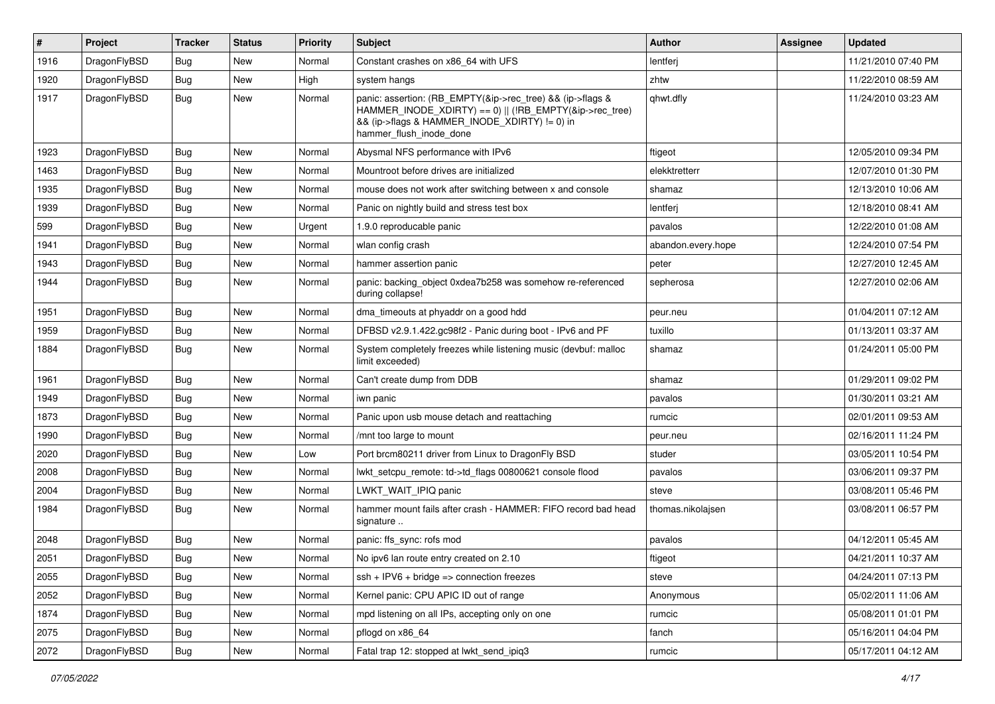| #    | Project      | <b>Tracker</b> | <b>Status</b> | <b>Priority</b> | Subject                                                                                                                                                                                           | Author             | <b>Assignee</b> | <b>Updated</b>      |
|------|--------------|----------------|---------------|-----------------|---------------------------------------------------------------------------------------------------------------------------------------------------------------------------------------------------|--------------------|-----------------|---------------------|
| 1916 | DragonFlyBSD | Bug            | <b>New</b>    | Normal          | Constant crashes on x86_64 with UFS                                                                                                                                                               | lentferj           |                 | 11/21/2010 07:40 PM |
| 1920 | DragonFlyBSD | Bug            | <b>New</b>    | High            | system hangs                                                                                                                                                                                      | zhtw               |                 | 11/22/2010 08:59 AM |
| 1917 | DragonFlyBSD | <b>Bug</b>     | New           | Normal          | panic: assertion: (RB_EMPTY(&ip->rec_tree) && (ip->flags &<br>HAMMER INODE XDIRTY) == 0)    (!RB EMPTY(&ip->rec tree)<br>&& (ip->flags & HAMMER_INODE_XDIRTY) != 0) in<br>hammer flush inode done | qhwt.dfly          |                 | 11/24/2010 03:23 AM |
| 1923 | DragonFlyBSD | Bug            | <b>New</b>    | Normal          | Abysmal NFS performance with IPv6                                                                                                                                                                 | ftigeot            |                 | 12/05/2010 09:34 PM |
| 1463 | DragonFlyBSD | <b>Bug</b>     | <b>New</b>    | Normal          | Mountroot before drives are initialized                                                                                                                                                           | elekktretterr      |                 | 12/07/2010 01:30 PM |
| 1935 | DragonFlyBSD | Bug            | <b>New</b>    | Normal          | mouse does not work after switching between x and console                                                                                                                                         | shamaz             |                 | 12/13/2010 10:06 AM |
| 1939 | DragonFlyBSD | <b>Bug</b>     | <b>New</b>    | Normal          | Panic on nightly build and stress test box                                                                                                                                                        | lentferj           |                 | 12/18/2010 08:41 AM |
| 599  | DragonFlyBSD | <b>Bug</b>     | <b>New</b>    | Urgent          | 1.9.0 reproducable panic                                                                                                                                                                          | pavalos            |                 | 12/22/2010 01:08 AM |
| 1941 | DragonFlyBSD | Bug            | <b>New</b>    | Normal          | wlan config crash                                                                                                                                                                                 | abandon.every.hope |                 | 12/24/2010 07:54 PM |
| 1943 | DragonFlyBSD | <b>Bug</b>     | <b>New</b>    | Normal          | hammer assertion panic                                                                                                                                                                            | peter              |                 | 12/27/2010 12:45 AM |
| 1944 | DragonFlyBSD | Bug            | New           | Normal          | panic: backing object 0xdea7b258 was somehow re-referenced<br>during collapse!                                                                                                                    | sepherosa          |                 | 12/27/2010 02:06 AM |
| 1951 | DragonFlyBSD | <b>Bug</b>     | <b>New</b>    | Normal          | dma timeouts at phyaddr on a good hdd                                                                                                                                                             | peur.neu           |                 | 01/04/2011 07:12 AM |
| 1959 | DragonFlyBSD | Bug            | <b>New</b>    | Normal          | DFBSD v2.9.1.422.gc98f2 - Panic during boot - IPv6 and PF                                                                                                                                         | tuxillo            |                 | 01/13/2011 03:37 AM |
| 1884 | DragonFlyBSD | Bug            | New           | Normal          | System completely freezes while listening music (devbuf: malloc<br>limit exceeded)                                                                                                                | shamaz             |                 | 01/24/2011 05:00 PM |
| 1961 | DragonFlyBSD | Bug            | <b>New</b>    | Normal          | Can't create dump from DDB                                                                                                                                                                        | shamaz             |                 | 01/29/2011 09:02 PM |
| 1949 | DragonFlyBSD | <b>Bug</b>     | <b>New</b>    | Normal          | iwn panic                                                                                                                                                                                         | pavalos            |                 | 01/30/2011 03:21 AM |
| 1873 | DragonFlyBSD | <b>Bug</b>     | <b>New</b>    | Normal          | Panic upon usb mouse detach and reattaching                                                                                                                                                       | rumcic             |                 | 02/01/2011 09:53 AM |
| 1990 | DragonFlyBSD | Bug            | <b>New</b>    | Normal          | /mnt too large to mount                                                                                                                                                                           | peur.neu           |                 | 02/16/2011 11:24 PM |
| 2020 | DragonFlyBSD | <b>Bug</b>     | New           | Low             | Port brcm80211 driver from Linux to DragonFly BSD                                                                                                                                                 | studer             |                 | 03/05/2011 10:54 PM |
| 2008 | DragonFlyBSD | Bug            | <b>New</b>    | Normal          | lwkt setcpu remote: td->td flags 00800621 console flood                                                                                                                                           | pavalos            |                 | 03/06/2011 09:37 PM |
| 2004 | DragonFlyBSD | Bug            | <b>New</b>    | Normal          | LWKT_WAIT_IPIQ panic                                                                                                                                                                              | steve              |                 | 03/08/2011 05:46 PM |
| 1984 | DragonFlyBSD | Bug            | New           | Normal          | hammer mount fails after crash - HAMMER: FIFO record bad head<br>signature                                                                                                                        | thomas.nikolajsen  |                 | 03/08/2011 06:57 PM |
| 2048 | DragonFlyBSD | <b>Bug</b>     | <b>New</b>    | Normal          | panic: ffs_sync: rofs mod                                                                                                                                                                         | pavalos            |                 | 04/12/2011 05:45 AM |
| 2051 | DragonFlyBSD | Bug            | New           | Normal          | No ipv6 lan route entry created on 2.10                                                                                                                                                           | ftigeot            |                 | 04/21/2011 10:37 AM |
| 2055 | DragonFlyBSD | <b>Bug</b>     | New           | Normal          | $ssh + IPV6 + bridge \Rightarrow connection freezes$                                                                                                                                              | steve              |                 | 04/24/2011 07:13 PM |
| 2052 | DragonFlyBSD | <b>Bug</b>     | New           | Normal          | Kernel panic: CPU APIC ID out of range                                                                                                                                                            | Anonymous          |                 | 05/02/2011 11:06 AM |
| 1874 | DragonFlyBSD | <b>Bug</b>     | New           | Normal          | mpd listening on all IPs, accepting only on one                                                                                                                                                   | rumcic             |                 | 05/08/2011 01:01 PM |
| 2075 | DragonFlyBSD | <b>Bug</b>     | New           | Normal          | pflogd on x86 64                                                                                                                                                                                  | fanch              |                 | 05/16/2011 04:04 PM |
| 2072 | DragonFlyBSD | <b>Bug</b>     | New           | Normal          | Fatal trap 12: stopped at lwkt_send_ipiq3                                                                                                                                                         | rumcic             |                 | 05/17/2011 04:12 AM |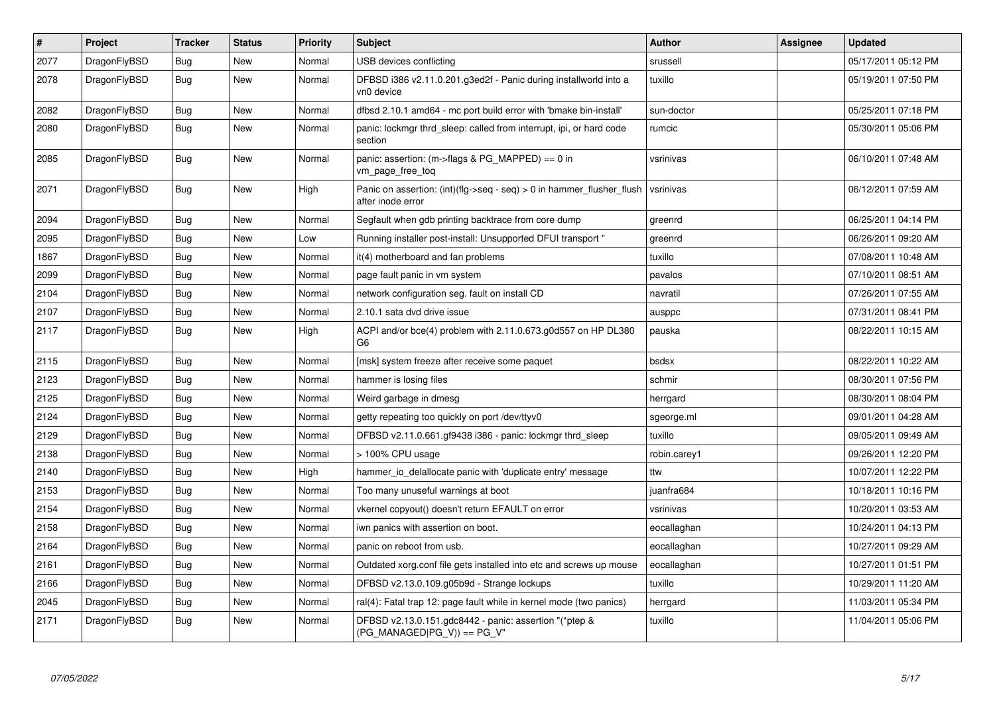| $\pmb{\#}$ | Project      | <b>Tracker</b> | <b>Status</b> | <b>Priority</b> | <b>Subject</b>                                                                                | <b>Author</b> | Assignee | Updated             |
|------------|--------------|----------------|---------------|-----------------|-----------------------------------------------------------------------------------------------|---------------|----------|---------------------|
| 2077       | DragonFlyBSD | <b>Bug</b>     | <b>New</b>    | Normal          | USB devices conflicting                                                                       | srussell      |          | 05/17/2011 05:12 PM |
| 2078       | DragonFlyBSD | <b>Bug</b>     | <b>New</b>    | Normal          | DFBSD i386 v2.11.0.201.g3ed2f - Panic during installworld into a<br>vn0 device                | tuxillo       |          | 05/19/2011 07:50 PM |
| 2082       | DragonFlyBSD | <b>Bug</b>     | <b>New</b>    | Normal          | dfbsd 2.10.1 amd64 - mc port build error with 'bmake bin-install'                             | sun-doctor    |          | 05/25/2011 07:18 PM |
| 2080       | DragonFlyBSD | Bug            | <b>New</b>    | Normal          | panic: lockmgr thrd sleep: called from interrupt, ipi, or hard code<br>section                | rumcic        |          | 05/30/2011 05:06 PM |
| 2085       | DragonFlyBSD | <b>Bug</b>     | New           | Normal          | panic: assertion: (m->flags & PG_MAPPED) == 0 in<br>vm_page_free_toq                          | vsrinivas     |          | 06/10/2011 07:48 AM |
| 2071       | DragonFlyBSD | <b>Bug</b>     | <b>New</b>    | High            | Panic on assertion: $(int)(flag->seq - seq) > 0$ in hammer flusher flush<br>after inode error | vsrinivas     |          | 06/12/2011 07:59 AM |
| 2094       | DragonFlyBSD | <b>Bug</b>     | <b>New</b>    | Normal          | Segfault when gdb printing backtrace from core dump                                           | greenrd       |          | 06/25/2011 04:14 PM |
| 2095       | DragonFlyBSD | Bug            | <b>New</b>    | Low             | Running installer post-install: Unsupported DFUI transport "                                  | greenrd       |          | 06/26/2011 09:20 AM |
| 1867       | DragonFlyBSD | Bug            | <b>New</b>    | Normal          | it(4) motherboard and fan problems                                                            | tuxillo       |          | 07/08/2011 10:48 AM |
| 2099       | DragonFlyBSD | Bug            | <b>New</b>    | Normal          | page fault panic in vm system                                                                 | pavalos       |          | 07/10/2011 08:51 AM |
| 2104       | DragonFlyBSD | Bug            | <b>New</b>    | Normal          | network configuration seg. fault on install CD                                                | navratil      |          | 07/26/2011 07:55 AM |
| 2107       | DragonFlyBSD | Bug            | <b>New</b>    | Normal          | 2.10.1 sata dvd drive issue                                                                   | ausppc        |          | 07/31/2011 08:41 PM |
| 2117       | DragonFlyBSD | <b>Bug</b>     | <b>New</b>    | High            | ACPI and/or bce(4) problem with 2.11.0.673.g0d557 on HP DL380<br>G <sub>6</sub>               | pauska        |          | 08/22/2011 10:15 AM |
| 2115       | DragonFlyBSD | <b>Bug</b>     | <b>New</b>    | Normal          | [msk] system freeze after receive some paquet                                                 | bsdsx         |          | 08/22/2011 10:22 AM |
| 2123       | DragonFlyBSD | <b>Bug</b>     | <b>New</b>    | Normal          | hammer is losing files                                                                        | schmir        |          | 08/30/2011 07:56 PM |
| 2125       | DragonFlyBSD | <b>Bug</b>     | <b>New</b>    | Normal          | Weird garbage in dmesg                                                                        | herrgard      |          | 08/30/2011 08:04 PM |
| 2124       | DragonFlyBSD | Bug            | <b>New</b>    | Normal          | getty repeating too quickly on port /dev/ttyv0                                                | sgeorge.ml    |          | 09/01/2011 04:28 AM |
| 2129       | DragonFlyBSD | Bug            | <b>New</b>    | Normal          | DFBSD v2.11.0.661.gf9438 i386 - panic: lockmgr thrd sleep                                     | tuxillo       |          | 09/05/2011 09:49 AM |
| 2138       | DragonFlyBSD | <b>Bug</b>     | <b>New</b>    | Normal          | > 100% CPU usage                                                                              | robin.carey1  |          | 09/26/2011 12:20 PM |
| 2140       | DragonFlyBSD | Bug            | New           | High            | hammer io delallocate panic with 'duplicate entry' message                                    | ttw           |          | 10/07/2011 12:22 PM |
| 2153       | DragonFlyBSD | Bug            | <b>New</b>    | Normal          | Too many unuseful warnings at boot                                                            | juanfra684    |          | 10/18/2011 10:16 PM |
| 2154       | DragonFlyBSD | <b>Bug</b>     | <b>New</b>    | Normal          | vkernel copyout() doesn't return EFAULT on error                                              | vsrinivas     |          | 10/20/2011 03:53 AM |
| 2158       | DragonFlyBSD | Bug            | <b>New</b>    | Normal          | iwn panics with assertion on boot.                                                            | eocallaghan   |          | 10/24/2011 04:13 PM |
| 2164       | DragonFlyBSD | <b>Bug</b>     | <b>New</b>    | Normal          | panic on reboot from usb.                                                                     | eocallaghan   |          | 10/27/2011 09:29 AM |
| 2161       | DragonFlyBSD | Bug            | <b>New</b>    | Normal          | Outdated xorg.conf file gets installed into etc and screws up mouse                           | eocallaghan   |          | 10/27/2011 01:51 PM |
| 2166       | DragonFlyBSD | Bug            | <b>New</b>    | Normal          | DFBSD v2.13.0.109.g05b9d - Strange lockups                                                    | tuxillo       |          | 10/29/2011 11:20 AM |
| 2045       | DragonFlyBSD | Bug            | <b>New</b>    | Normal          | ral(4): Fatal trap 12: page fault while in kernel mode (two panics)                           | herrgard      |          | 11/03/2011 05:34 PM |
| 2171       | DragonFlyBSD | Bug            | New           | Normal          | DFBSD v2.13.0.151.gdc8442 - panic: assertion "(*ptep &<br>$(PG$ MANAGED PG V)) == PG V"       | tuxillo       |          | 11/04/2011 05:06 PM |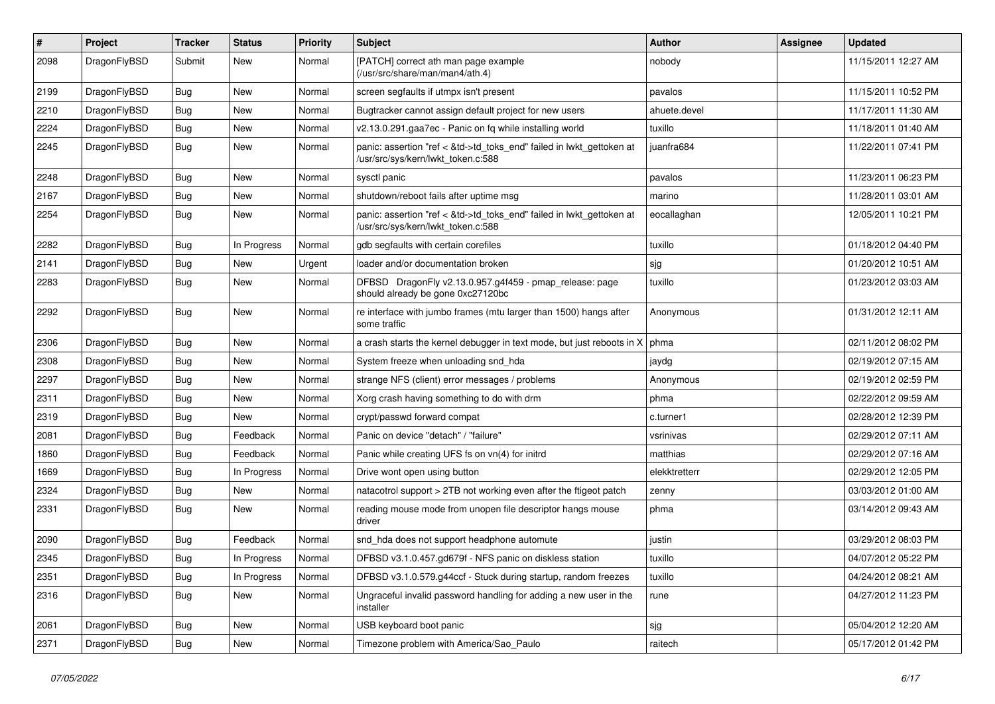| #    | Project      | <b>Tracker</b> | <b>Status</b> | <b>Priority</b> | Subject                                                                                                    | Author        | Assignee | <b>Updated</b>      |
|------|--------------|----------------|---------------|-----------------|------------------------------------------------------------------------------------------------------------|---------------|----------|---------------------|
| 2098 | DragonFlyBSD | Submit         | New           | Normal          | [PATCH] correct ath man page example<br>(/usr/src/share/man/man4/ath.4)                                    | nobody        |          | 11/15/2011 12:27 AM |
| 2199 | DragonFlyBSD | Bug            | New           | Normal          | screen segfaults if utmpx isn't present                                                                    | pavalos       |          | 11/15/2011 10:52 PM |
| 2210 | DragonFlyBSD | Bug            | <b>New</b>    | Normal          | Bugtracker cannot assign default project for new users                                                     | ahuete.devel  |          | 11/17/2011 11:30 AM |
| 2224 | DragonFlyBSD | Bug            | New           | Normal          | v2.13.0.291.gaa7ec - Panic on fq while installing world                                                    | tuxillo       |          | 11/18/2011 01:40 AM |
| 2245 | DragonFlyBSD | Bug            | New           | Normal          | panic: assertion "ref < &td->td_toks_end" failed in lwkt_gettoken at<br>/usr/src/sys/kern/lwkt_token.c:588 | juanfra684    |          | 11/22/2011 07:41 PM |
| 2248 | DragonFlyBSD | <b>Bug</b>     | New           | Normal          | sysctl panic                                                                                               | pavalos       |          | 11/23/2011 06:23 PM |
| 2167 | DragonFlyBSD | Bug            | New           | Normal          | shutdown/reboot fails after uptime msg                                                                     | marino        |          | 11/28/2011 03:01 AM |
| 2254 | DragonFlyBSD | Bug            | New           | Normal          | panic: assertion "ref < &td->td_toks_end" failed in lwkt_gettoken at<br>/usr/src/sys/kern/lwkt_token.c:588 | eocallaghan   |          | 12/05/2011 10:21 PM |
| 2282 | DragonFlyBSD | Bug            | In Progress   | Normal          | gdb segfaults with certain corefiles                                                                       | tuxillo       |          | 01/18/2012 04:40 PM |
| 2141 | DragonFlyBSD | Bug            | <b>New</b>    | Urgent          | loader and/or documentation broken                                                                         | sjg           |          | 01/20/2012 10:51 AM |
| 2283 | DragonFlyBSD | Bug            | New           | Normal          | DFBSD DragonFly v2.13.0.957.g4f459 - pmap_release: page<br>should already be gone 0xc27120bc               | tuxillo       |          | 01/23/2012 03:03 AM |
| 2292 | DragonFlyBSD | Bug            | <b>New</b>    | Normal          | re interface with jumbo frames (mtu larger than 1500) hangs after<br>some traffic                          | Anonymous     |          | 01/31/2012 12:11 AM |
| 2306 | DragonFlyBSD | Bug            | New           | Normal          | a crash starts the kernel debugger in text mode, but just reboots in X                                     | phma          |          | 02/11/2012 08:02 PM |
| 2308 | DragonFlyBSD | Bug            | <b>New</b>    | Normal          | System freeze when unloading snd_hda                                                                       | jaydg         |          | 02/19/2012 07:15 AM |
| 2297 | DragonFlyBSD | Bug            | <b>New</b>    | Normal          | strange NFS (client) error messages / problems                                                             | Anonymous     |          | 02/19/2012 02:59 PM |
| 2311 | DragonFlyBSD | Bug            | New           | Normal          | Xorg crash having something to do with drm                                                                 | phma          |          | 02/22/2012 09:59 AM |
| 2319 | DragonFlyBSD | Bug            | New           | Normal          | crypt/passwd forward compat                                                                                | c.turner1     |          | 02/28/2012 12:39 PM |
| 2081 | DragonFlyBSD | <b>Bug</b>     | Feedback      | Normal          | Panic on device "detach" / "failure"                                                                       | vsrinivas     |          | 02/29/2012 07:11 AM |
| 1860 | DragonFlyBSD | <b>Bug</b>     | Feedback      | Normal          | Panic while creating UFS fs on vn(4) for initrd                                                            | matthias      |          | 02/29/2012 07:16 AM |
| 1669 | DragonFlyBSD | <b>Bug</b>     | In Progress   | Normal          | Drive wont open using button                                                                               | elekktretterr |          | 02/29/2012 12:05 PM |
| 2324 | DragonFlyBSD | Bug            | New           | Normal          | natacotrol support > 2TB not working even after the ftigeot patch                                          | zenny         |          | 03/03/2012 01:00 AM |
| 2331 | DragonFlyBSD | <b>Bug</b>     | New           | Normal          | reading mouse mode from unopen file descriptor hangs mouse<br>driver                                       | phma          |          | 03/14/2012 09:43 AM |
| 2090 | DragonFlyBSD | <b>Bug</b>     | Feedback      | Normal          | snd_hda does not support headphone automute                                                                | justin        |          | 03/29/2012 08:03 PM |
| 2345 | DragonFlyBSD | Bug            | In Progress   | Normal          | DFBSD v3.1.0.457.gd679f - NFS panic on diskless station                                                    | tuxillo       |          | 04/07/2012 05:22 PM |
| 2351 | DragonFlyBSD | <b>Bug</b>     | In Progress   | Normal          | DFBSD v3.1.0.579.g44ccf - Stuck during startup, random freezes                                             | tuxillo       |          | 04/24/2012 08:21 AM |
| 2316 | DragonFlyBSD | <b>Bug</b>     | New           | Normal          | Ungraceful invalid password handling for adding a new user in the<br>installer                             | rune          |          | 04/27/2012 11:23 PM |
| 2061 | DragonFlyBSD | <b>Bug</b>     | New           | Normal          | USB keyboard boot panic                                                                                    | sjg           |          | 05/04/2012 12:20 AM |
| 2371 | DragonFlyBSD | <b>Bug</b>     | New           | Normal          | Timezone problem with America/Sao_Paulo                                                                    | raitech       |          | 05/17/2012 01:42 PM |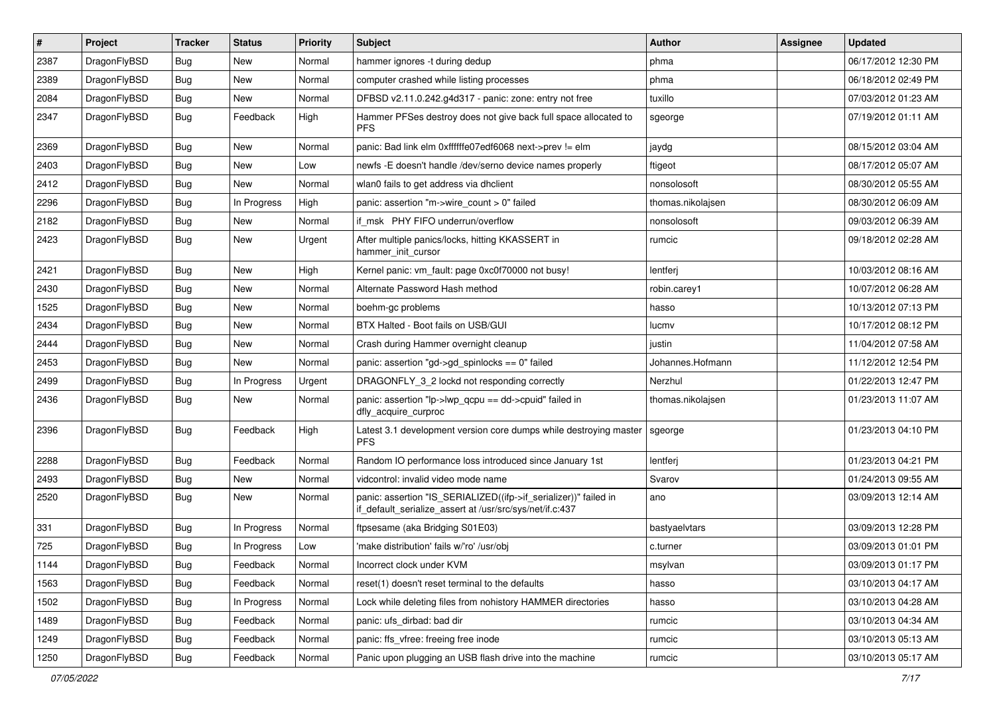| $\sharp$ | Project      | <b>Tracker</b> | <b>Status</b> | <b>Priority</b> | <b>Subject</b>                                                                                                               | <b>Author</b>     | Assignee | <b>Updated</b>      |
|----------|--------------|----------------|---------------|-----------------|------------------------------------------------------------------------------------------------------------------------------|-------------------|----------|---------------------|
| 2387     | DragonFlyBSD | <b>Bug</b>     | <b>New</b>    | Normal          | hammer ignores -t during dedup                                                                                               | phma              |          | 06/17/2012 12:30 PM |
| 2389     | DragonFlyBSD | Bug            | <b>New</b>    | Normal          | computer crashed while listing processes                                                                                     | phma              |          | 06/18/2012 02:49 PM |
| 2084     | DragonFlyBSD | <b>Bug</b>     | New           | Normal          | DFBSD v2.11.0.242.g4d317 - panic: zone: entry not free                                                                       | tuxillo           |          | 07/03/2012 01:23 AM |
| 2347     | DragonFlyBSD | Bug            | Feedback      | High            | Hammer PFSes destroy does not give back full space allocated to<br><b>PFS</b>                                                | sgeorge           |          | 07/19/2012 01:11 AM |
| 2369     | DragonFlyBSD | Bug            | <b>New</b>    | Normal          | panic: Bad link elm 0xffffffe07edf6068 next->prev != elm                                                                     | jaydg             |          | 08/15/2012 03:04 AM |
| 2403     | DragonFlyBSD | Bug            | <b>New</b>    | Low             | newfs -E doesn't handle /dev/serno device names properly                                                                     | ftigeot           |          | 08/17/2012 05:07 AM |
| 2412     | DragonFlyBSD | <b>Bug</b>     | New           | Normal          | wlan0 fails to get address via dhclient                                                                                      | nonsolosoft       |          | 08/30/2012 05:55 AM |
| 2296     | DragonFlyBSD | Bug            | In Progress   | High            | panic: assertion "m->wire count > 0" failed                                                                                  | thomas.nikolajsen |          | 08/30/2012 06:09 AM |
| 2182     | DragonFlyBSD | Bug            | New           | Normal          | if msk PHY FIFO underrun/overflow                                                                                            | nonsolosoft       |          | 09/03/2012 06:39 AM |
| 2423     | DragonFlyBSD | <b>Bug</b>     | New           | Urgent          | After multiple panics/locks, hitting KKASSERT in<br>hammer_init_cursor                                                       | rumcic            |          | 09/18/2012 02:28 AM |
| 2421     | DragonFlyBSD | Bug            | <b>New</b>    | High            | Kernel panic: vm_fault: page 0xc0f70000 not busy!                                                                            | lentferj          |          | 10/03/2012 08:16 AM |
| 2430     | DragonFlyBSD | <b>Bug</b>     | <b>New</b>    | Normal          | Alternate Password Hash method                                                                                               | robin.carey1      |          | 10/07/2012 06:28 AM |
| 1525     | DragonFlyBSD | Bug            | <b>New</b>    | Normal          | boehm-gc problems                                                                                                            | hasso             |          | 10/13/2012 07:13 PM |
| 2434     | DragonFlyBSD | <b>Bug</b>     | <b>New</b>    | Normal          | BTX Halted - Boot fails on USB/GUI                                                                                           | lucmv             |          | 10/17/2012 08:12 PM |
| 2444     | DragonFlyBSD | <b>Bug</b>     | New           | Normal          | Crash during Hammer overnight cleanup                                                                                        | justin            |          | 11/04/2012 07:58 AM |
| 2453     | DragonFlyBSD | <b>Bug</b>     | <b>New</b>    | Normal          | panic: assertion "gd->gd_spinlocks == 0" failed                                                                              | Johannes.Hofmann  |          | 11/12/2012 12:54 PM |
| 2499     | DragonFlyBSD | <b>Bug</b>     | In Progress   | Urgent          | DRAGONFLY_3_2 lockd not responding correctly                                                                                 | Nerzhul           |          | 01/22/2013 12:47 PM |
| 2436     | DragonFlyBSD | <b>Bug</b>     | New           | Normal          | panic: assertion "lp->lwp_qcpu == dd->cpuid" failed in<br>dfly_acquire_curproc                                               | thomas.nikolajsen |          | 01/23/2013 11:07 AM |
| 2396     | DragonFlyBSD | Bug            | Feedback      | High            | Latest 3.1 development version core dumps while destroying master<br><b>PFS</b>                                              | sgeorge           |          | 01/23/2013 04:10 PM |
| 2288     | DragonFlyBSD | Bug            | Feedback      | Normal          | Random IO performance loss introduced since January 1st                                                                      | lentferj          |          | 01/23/2013 04:21 PM |
| 2493     | DragonFlyBSD | <b>Bug</b>     | New           | Normal          | vidcontrol: invalid video mode name                                                                                          | Svarov            |          | 01/24/2013 09:55 AM |
| 2520     | DragonFlyBSD | Bug            | <b>New</b>    | Normal          | panic: assertion "IS_SERIALIZED((ifp->if_serializer))" failed in<br>if_default_serialize_assert at /usr/src/sys/net/if.c:437 | ano               |          | 03/09/2013 12:14 AM |
| 331      | DragonFlyBSD | Bug            | In Progress   | Normal          | ftpsesame (aka Bridging S01E03)                                                                                              | bastyaelvtars     |          | 03/09/2013 12:28 PM |
| 725      | DragonFlyBSD | <b>Bug</b>     | In Progress   | Low             | 'make distribution' fails w/'ro' /usr/obj                                                                                    | c.turner          |          | 03/09/2013 01:01 PM |
| 1144     | DragonFlyBSD | <b>Bug</b>     | Feedback      | Normal          | Incorrect clock under KVM                                                                                                    | msylvan           |          | 03/09/2013 01:17 PM |
| 1563     | DragonFlyBSD | Bug            | Feedback      | Normal          | reset(1) doesn't reset terminal to the defaults                                                                              | hasso             |          | 03/10/2013 04:17 AM |
| 1502     | DragonFlyBSD | <b>Bug</b>     | In Progress   | Normal          | Lock while deleting files from nohistory HAMMER directories                                                                  | hasso             |          | 03/10/2013 04:28 AM |
| 1489     | DragonFlyBSD | <b>Bug</b>     | Feedback      | Normal          | panic: ufs_dirbad: bad dir                                                                                                   | rumcic            |          | 03/10/2013 04:34 AM |
| 1249     | DragonFlyBSD | <b>Bug</b>     | Feedback      | Normal          | panic: ffs_vfree: freeing free inode                                                                                         | rumcic            |          | 03/10/2013 05:13 AM |
| 1250     | DragonFlyBSD | <b>Bug</b>     | Feedback      | Normal          | Panic upon plugging an USB flash drive into the machine                                                                      | rumcic            |          | 03/10/2013 05:17 AM |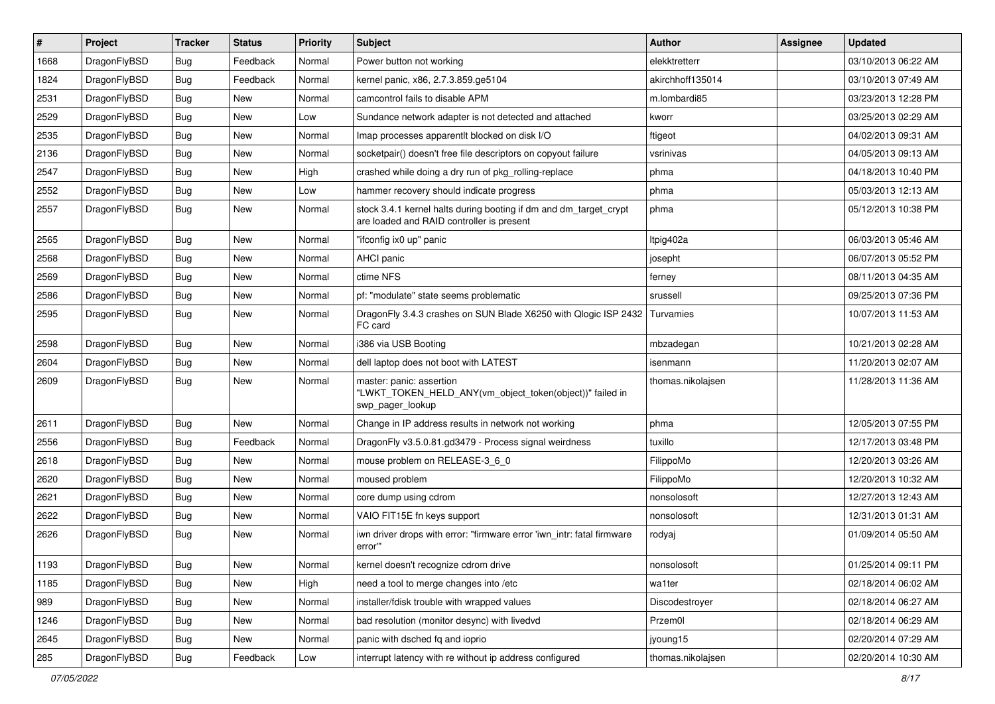| $\sharp$ | Project      | <b>Tracker</b> | <b>Status</b> | <b>Priority</b> | Subject                                                                                                        | Author            | Assignee | <b>Updated</b>      |
|----------|--------------|----------------|---------------|-----------------|----------------------------------------------------------------------------------------------------------------|-------------------|----------|---------------------|
| 1668     | DragonFlyBSD | <b>Bug</b>     | Feedback      | Normal          | Power button not working                                                                                       | elekktretterr     |          | 03/10/2013 06:22 AM |
| 1824     | DragonFlyBSD | Bug            | Feedback      | Normal          | kernel panic, x86, 2.7.3.859.ge5104                                                                            | akirchhoff135014  |          | 03/10/2013 07:49 AM |
| 2531     | DragonFlyBSD | <b>Bug</b>     | New           | Normal          | camcontrol fails to disable APM                                                                                | m.lombardi85      |          | 03/23/2013 12:28 PM |
| 2529     | DragonFlyBSD | <b>Bug</b>     | New           | Low             | Sundance network adapter is not detected and attached                                                          | kworr             |          | 03/25/2013 02:29 AM |
| 2535     | DragonFlyBSD | Bug            | <b>New</b>    | Normal          | Imap processes apparentlt blocked on disk I/O                                                                  | ftigeot           |          | 04/02/2013 09:31 AM |
| 2136     | DragonFlyBSD | Bug            | <b>New</b>    | Normal          | socketpair() doesn't free file descriptors on copyout failure                                                  | vsrinivas         |          | 04/05/2013 09:13 AM |
| 2547     | DragonFlyBSD | Bug            | New           | High            | crashed while doing a dry run of pkg rolling-replace                                                           | phma              |          | 04/18/2013 10:40 PM |
| 2552     | DragonFlyBSD | <b>Bug</b>     | New           | Low             | hammer recovery should indicate progress                                                                       | phma              |          | 05/03/2013 12:13 AM |
| 2557     | DragonFlyBSD | <b>Bug</b>     | New           | Normal          | stock 3.4.1 kernel halts during booting if dm and dm_target_crypt<br>are loaded and RAID controller is present | phma              |          | 05/12/2013 10:38 PM |
| 2565     | DragonFlyBSD | Bug            | New           | Normal          | "ifconfig ix0 up" panic                                                                                        | Itpig402a         |          | 06/03/2013 05:46 AM |
| 2568     | DragonFlyBSD | <b>Bug</b>     | New           | Normal          | AHCI panic                                                                                                     | josepht           |          | 06/07/2013 05:52 PM |
| 2569     | DragonFlyBSD | <b>Bug</b>     | New           | Normal          | ctime NFS                                                                                                      | ferney            |          | 08/11/2013 04:35 AM |
| 2586     | DragonFlyBSD | <b>Bug</b>     | <b>New</b>    | Normal          | pf: "modulate" state seems problematic                                                                         | srussell          |          | 09/25/2013 07:36 PM |
| 2595     | DragonFlyBSD | Bug            | New           | Normal          | DragonFly 3.4.3 crashes on SUN Blade X6250 with Qlogic ISP 2432<br>FC card                                     | Turvamies         |          | 10/07/2013 11:53 AM |
| 2598     | DragonFlyBSD | Bug            | New           | Normal          | i386 via USB Booting                                                                                           | mbzadegan         |          | 10/21/2013 02:28 AM |
| 2604     | DragonFlyBSD | Bug            | <b>New</b>    | Normal          | dell laptop does not boot with LATEST                                                                          | isenmann          |          | 11/20/2013 02:07 AM |
| 2609     | DragonFlyBSD | Bug            | New           | Normal          | master: panic: assertion<br>"LWKT_TOKEN_HELD_ANY(vm_object_token(object))" failed in<br>swp_pager_lookup       | thomas.nikolajsen |          | 11/28/2013 11:36 AM |
| 2611     | DragonFlyBSD | Bug            | New           | Normal          | Change in IP address results in network not working                                                            | phma              |          | 12/05/2013 07:55 PM |
| 2556     | DragonFlyBSD | Bug            | Feedback      | Normal          | DragonFly v3.5.0.81.gd3479 - Process signal weirdness                                                          | tuxillo           |          | 12/17/2013 03:48 PM |
| 2618     | DragonFlyBSD | <b>Bug</b>     | New           | Normal          | mouse problem on RELEASE-3_6_0                                                                                 | FilippoMo         |          | 12/20/2013 03:26 AM |
| 2620     | DragonFlyBSD | <b>Bug</b>     | New           | Normal          | moused problem                                                                                                 | FilippoMo         |          | 12/20/2013 10:32 AM |
| 2621     | DragonFlyBSD | Bug            | <b>New</b>    | Normal          | core dump using cdrom                                                                                          | nonsolosoft       |          | 12/27/2013 12:43 AM |
| 2622     | DragonFlyBSD | <b>Bug</b>     | New           | Normal          | VAIO FIT15E fn keys support                                                                                    | nonsolosoft       |          | 12/31/2013 01:31 AM |
| 2626     | DragonFlyBSD | <b>Bug</b>     | New           | Normal          | iwn driver drops with error: "firmware error 'iwn_intr: fatal firmware<br>error""                              | rodyaj            |          | 01/09/2014 05:50 AM |
| 1193     | DragonFlyBSD | <b>Bug</b>     | <b>New</b>    | Normal          | kernel doesn't recognize cdrom drive                                                                           | nonsolosoft       |          | 01/25/2014 09:11 PM |
| 1185     | DragonFlyBSD | <b>Bug</b>     | <b>New</b>    | High            | need a tool to merge changes into /etc                                                                         | wa1ter            |          | 02/18/2014 06:02 AM |
| 989      | DragonFlyBSD | <b>Bug</b>     | New           | Normal          | installer/fdisk trouble with wrapped values                                                                    | Discodestroyer    |          | 02/18/2014 06:27 AM |
| 1246     | DragonFlyBSD | <b>Bug</b>     | <b>New</b>    | Normal          | bad resolution (monitor desync) with livedvd                                                                   | Przem0l           |          | 02/18/2014 06:29 AM |
| 2645     | DragonFlyBSD | <b>Bug</b>     | New           | Normal          | panic with dsched fq and ioprio                                                                                | jyoung15          |          | 02/20/2014 07:29 AM |
| 285      | DragonFlyBSD | <b>Bug</b>     | Feedback      | Low             | interrupt latency with re without ip address configured                                                        | thomas.nikolajsen |          | 02/20/2014 10:30 AM |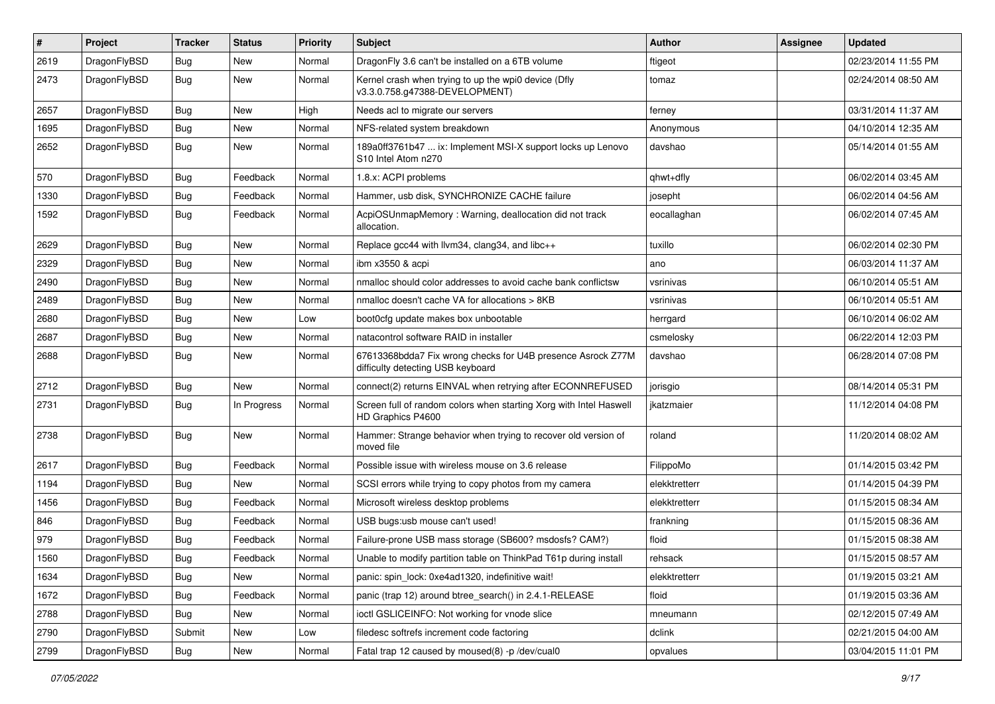| $\sharp$ | Project      | <b>Tracker</b> | <b>Status</b> | <b>Priority</b> | Subject                                                                                          | Author        | Assignee | <b>Updated</b>      |
|----------|--------------|----------------|---------------|-----------------|--------------------------------------------------------------------------------------------------|---------------|----------|---------------------|
| 2619     | DragonFlyBSD | Bug            | New           | Normal          | DragonFly 3.6 can't be installed on a 6TB volume                                                 | ftigeot       |          | 02/23/2014 11:55 PM |
| 2473     | DragonFlyBSD | Bug            | New           | Normal          | Kernel crash when trying to up the wpi0 device (Dfly<br>v3.3.0.758.g47388-DEVELOPMENT)           | tomaz         |          | 02/24/2014 08:50 AM |
| 2657     | DragonFlyBSD | Bug            | New           | High            | Needs acl to migrate our servers                                                                 | ferney        |          | 03/31/2014 11:37 AM |
| 1695     | DragonFlyBSD | Bug            | New           | Normal          | NFS-related system breakdown                                                                     | Anonymous     |          | 04/10/2014 12:35 AM |
| 2652     | DragonFlyBSD | Bug            | New           | Normal          | 189a0ff3761b47  ix: Implement MSI-X support locks up Lenovo<br>S10 Intel Atom n270               | davshao       |          | 05/14/2014 01:55 AM |
| 570      | DragonFlyBSD | Bug            | Feedback      | Normal          | 1.8.x: ACPI problems                                                                             | qhwt+dfly     |          | 06/02/2014 03:45 AM |
| 1330     | DragonFlyBSD | Bug            | Feedback      | Normal          | Hammer, usb disk, SYNCHRONIZE CACHE failure                                                      | josepht       |          | 06/02/2014 04:56 AM |
| 1592     | DragonFlyBSD | Bug            | Feedback      | Normal          | AcpiOSUnmapMemory: Warning, deallocation did not track<br>allocation.                            | eocallaghan   |          | 06/02/2014 07:45 AM |
| 2629     | DragonFlyBSD | Bug            | New           | Normal          | Replace gcc44 with llvm34, clang34, and libc++                                                   | tuxillo       |          | 06/02/2014 02:30 PM |
| 2329     | DragonFlyBSD | Bug            | <b>New</b>    | Normal          | ibm x3550 & acpi                                                                                 | ano           |          | 06/03/2014 11:37 AM |
| 2490     | DragonFlyBSD | Bug            | New           | Normal          | nmalloc should color addresses to avoid cache bank conflictsw                                    | vsrinivas     |          | 06/10/2014 05:51 AM |
| 2489     | DragonFlyBSD | Bug            | New           | Normal          | nmalloc doesn't cache VA for allocations > 8KB                                                   | vsrinivas     |          | 06/10/2014 05:51 AM |
| 2680     | DragonFlyBSD | Bug            | New           | Low             | boot0cfg update makes box unbootable                                                             | herrgard      |          | 06/10/2014 06:02 AM |
| 2687     | DragonFlyBSD | Bug            | New           | Normal          | natacontrol software RAID in installer                                                           | csmelosky     |          | 06/22/2014 12:03 PM |
| 2688     | DragonFlyBSD | Bug            | New           | Normal          | 67613368bdda7 Fix wrong checks for U4B presence Asrock Z77M<br>difficulty detecting USB keyboard | davshao       |          | 06/28/2014 07:08 PM |
| 2712     | DragonFlyBSD | Bug            | New           | Normal          | connect(2) returns EINVAL when retrying after ECONNREFUSED                                       | jorisgio      |          | 08/14/2014 05:31 PM |
| 2731     | DragonFlyBSD | Bug            | In Progress   | Normal          | Screen full of random colors when starting Xorg with Intel Haswell<br>HD Graphics P4600          | ikatzmaier    |          | 11/12/2014 04:08 PM |
| 2738     | DragonFlyBSD | <b>Bug</b>     | New           | Normal          | Hammer: Strange behavior when trying to recover old version of<br>moved file                     | roland        |          | 11/20/2014 08:02 AM |
| 2617     | DragonFlyBSD | <b>Bug</b>     | Feedback      | Normal          | Possible issue with wireless mouse on 3.6 release                                                | FilippoMo     |          | 01/14/2015 03:42 PM |
| 1194     | DragonFlyBSD | <b>Bug</b>     | New           | Normal          | SCSI errors while trying to copy photos from my camera                                           | elekktretterr |          | 01/14/2015 04:39 PM |
| 1456     | DragonFlyBSD | <b>Bug</b>     | Feedback      | Normal          | Microsoft wireless desktop problems                                                              | elekktretterr |          | 01/15/2015 08:34 AM |
| 846      | DragonFlyBSD | <b>Bug</b>     | Feedback      | Normal          | USB bugs:usb mouse can't used!                                                                   | frankning     |          | 01/15/2015 08:36 AM |
| 979      | DragonFlyBSD | <b>Bug</b>     | Feedback      | Normal          | Failure-prone USB mass storage (SB600? msdosfs? CAM?)                                            | floid         |          | 01/15/2015 08:38 AM |
| 1560     | DragonFlyBSD | <b>Bug</b>     | Feedback      | Normal          | Unable to modify partition table on ThinkPad T61p during install                                 | rehsack       |          | 01/15/2015 08:57 AM |
| 1634     | DragonFlyBSD | <b>Bug</b>     | New           | Normal          | panic: spin_lock: 0xe4ad1320, indefinitive wait!                                                 | elekktretterr |          | 01/19/2015 03:21 AM |
| 1672     | DragonFlyBSD | Bug            | Feedback      | Normal          | panic (trap 12) around btree_search() in 2.4.1-RELEASE                                           | floid         |          | 01/19/2015 03:36 AM |
| 2788     | DragonFlyBSD | <b>Bug</b>     | <b>New</b>    | Normal          | ioctl GSLICEINFO: Not working for vnode slice                                                    | mneumann      |          | 02/12/2015 07:49 AM |
| 2790     | DragonFlyBSD | Submit         | <b>New</b>    | Low             | filedesc softrefs increment code factoring                                                       | dclink        |          | 02/21/2015 04:00 AM |
| 2799     | DragonFlyBSD | Bug            | New           | Normal          | Fatal trap 12 caused by moused(8) -p /dev/cual0                                                  | opvalues      |          | 03/04/2015 11:01 PM |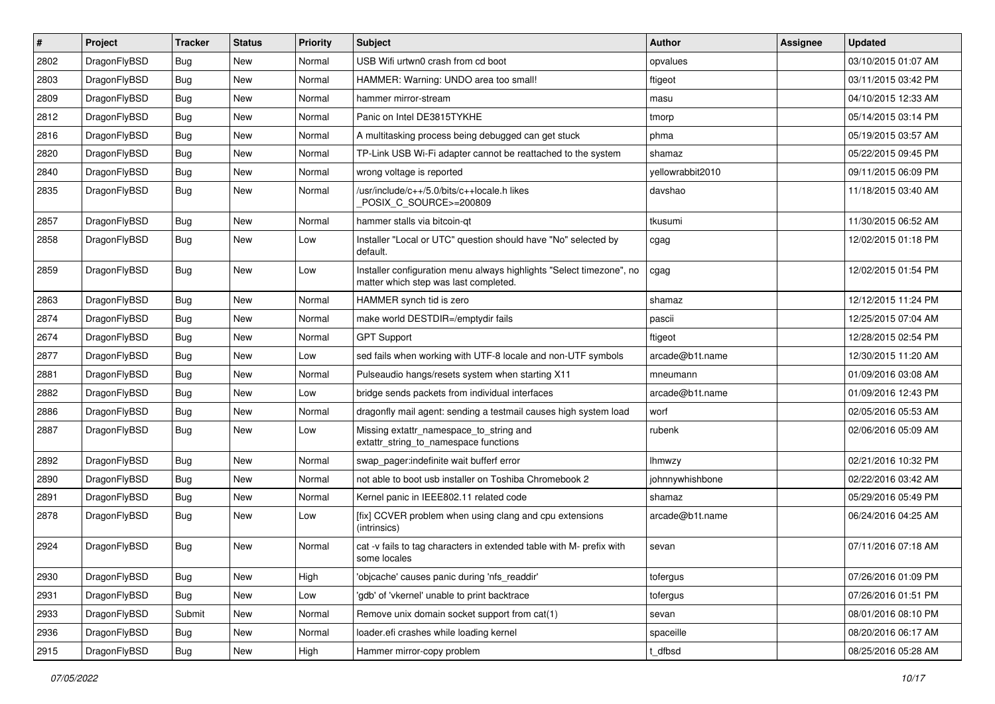| $\sharp$ | Project      | <b>Tracker</b> | <b>Status</b> | <b>Priority</b> | Subject                                                                                                       | <b>Author</b>    | Assignee | <b>Updated</b>      |
|----------|--------------|----------------|---------------|-----------------|---------------------------------------------------------------------------------------------------------------|------------------|----------|---------------------|
| 2802     | DragonFlyBSD | Bug            | <b>New</b>    | Normal          | USB Wifi urtwn0 crash from cd boot                                                                            | opvalues         |          | 03/10/2015 01:07 AM |
| 2803     | DragonFlyBSD | Bug            | <b>New</b>    | Normal          | HAMMER: Warning: UNDO area too small!                                                                         | ftigeot          |          | 03/11/2015 03:42 PM |
| 2809     | DragonFlyBSD | <b>Bug</b>     | <b>New</b>    | Normal          | hammer mirror-stream                                                                                          | masu             |          | 04/10/2015 12:33 AM |
| 2812     | DragonFlyBSD | <b>Bug</b>     | New           | Normal          | Panic on Intel DE3815TYKHE                                                                                    | tmorp            |          | 05/14/2015 03:14 PM |
| 2816     | DragonFlyBSD | Bug            | <b>New</b>    | Normal          | A multitasking process being debugged can get stuck                                                           | phma             |          | 05/19/2015 03:57 AM |
| 2820     | DragonFlyBSD | Bug            | New           | Normal          | TP-Link USB Wi-Fi adapter cannot be reattached to the system                                                  | shamaz           |          | 05/22/2015 09:45 PM |
| 2840     | DragonFlyBSD | <b>Bug</b>     | <b>New</b>    | Normal          | wrong voltage is reported                                                                                     | yellowrabbit2010 |          | 09/11/2015 06:09 PM |
| 2835     | DragonFlyBSD | <b>Bug</b>     | <b>New</b>    | Normal          | /usr/include/c++/5.0/bits/c++locale.h likes<br>POSIX_C_SOURCE>=200809                                         | davshao          |          | 11/18/2015 03:40 AM |
| 2857     | DragonFlyBSD | <b>Bug</b>     | New           | Normal          | hammer stalls via bitcoin-qt                                                                                  | tkusumi          |          | 11/30/2015 06:52 AM |
| 2858     | DragonFlyBSD | <b>Bug</b>     | <b>New</b>    | Low             | Installer "Local or UTC" question should have "No" selected by<br>default.                                    | cgag             |          | 12/02/2015 01:18 PM |
| 2859     | DragonFlyBSD | <b>Bug</b>     | New           | Low             | Installer configuration menu always highlights "Select timezone", no<br>matter which step was last completed. | cgag             |          | 12/02/2015 01:54 PM |
| 2863     | DragonFlyBSD | Bug            | <b>New</b>    | Normal          | HAMMER synch tid is zero                                                                                      | shamaz           |          | 12/12/2015 11:24 PM |
| 2874     | DragonFlyBSD | <b>Bug</b>     | <b>New</b>    | Normal          | make world DESTDIR=/emptydir fails                                                                            | pascii           |          | 12/25/2015 07:04 AM |
| 2674     | DragonFlyBSD | <b>Bug</b>     | <b>New</b>    | Normal          | <b>GPT Support</b>                                                                                            | ftigeot          |          | 12/28/2015 02:54 PM |
| 2877     | DragonFlyBSD | Bug            | <b>New</b>    | Low             | sed fails when working with UTF-8 locale and non-UTF symbols                                                  | arcade@b1t.name  |          | 12/30/2015 11:20 AM |
| 2881     | DragonFlyBSD | <b>Bug</b>     | <b>New</b>    | Normal          | Pulseaudio hangs/resets system when starting X11                                                              | mneumann         |          | 01/09/2016 03:08 AM |
| 2882     | DragonFlyBSD | Bug            | <b>New</b>    | Low             | bridge sends packets from individual interfaces                                                               | arcade@b1t.name  |          | 01/09/2016 12:43 PM |
| 2886     | DragonFlyBSD | <b>Bug</b>     | <b>New</b>    | Normal          | dragonfly mail agent: sending a testmail causes high system load                                              | worf             |          | 02/05/2016 05:53 AM |
| 2887     | DragonFlyBSD | <b>Bug</b>     | New           | Low             | Missing extattr_namespace_to_string and<br>extattr_string_to_namespace functions                              | rubenk           |          | 02/06/2016 05:09 AM |
| 2892     | DragonFlyBSD | Bug            | <b>New</b>    | Normal          | swap_pager:indefinite wait bufferf error                                                                      | <b>Ihmwzy</b>    |          | 02/21/2016 10:32 PM |
| 2890     | DragonFlyBSD | <b>Bug</b>     | <b>New</b>    | Normal          | not able to boot usb installer on Toshiba Chromebook 2                                                        | johnnywhishbone  |          | 02/22/2016 03:42 AM |
| 2891     | DragonFlyBSD | Bug            | <b>New</b>    | Normal          | Kernel panic in IEEE802.11 related code                                                                       | shamaz           |          | 05/29/2016 05:49 PM |
| 2878     | DragonFlyBSD | <b>Bug</b>     | <b>New</b>    | Low             | [fix] CCVER problem when using clang and cpu extensions<br>(intrinsics)                                       | arcade@b1t.name  |          | 06/24/2016 04:25 AM |
| 2924     | DragonFlyBSD | <b>Bug</b>     | <b>New</b>    | Normal          | cat -v fails to tag characters in extended table with M- prefix with<br>some locales                          | sevan            |          | 07/11/2016 07:18 AM |
| 2930     | DragonFlyBSD | Bug            | New           | High            | 'objcache' causes panic during 'nfs_readdir'                                                                  | tofergus         |          | 07/26/2016 01:09 PM |
| 2931     | DragonFlyBSD | Bug            | New           | Low             | 'gdb' of 'vkernel' unable to print backtrace                                                                  | tofergus         |          | 07/26/2016 01:51 PM |
| 2933     | DragonFlyBSD | Submit         | New           | Normal          | Remove unix domain socket support from cat(1)                                                                 | sevan            |          | 08/01/2016 08:10 PM |
| 2936     | DragonFlyBSD | <b>Bug</b>     | New           | Normal          | loader.efi crashes while loading kernel                                                                       | spaceille        |          | 08/20/2016 06:17 AM |
| 2915     | DragonFlyBSD | <b>Bug</b>     | New           | High            | Hammer mirror-copy problem                                                                                    | t_dfbsd          |          | 08/25/2016 05:28 AM |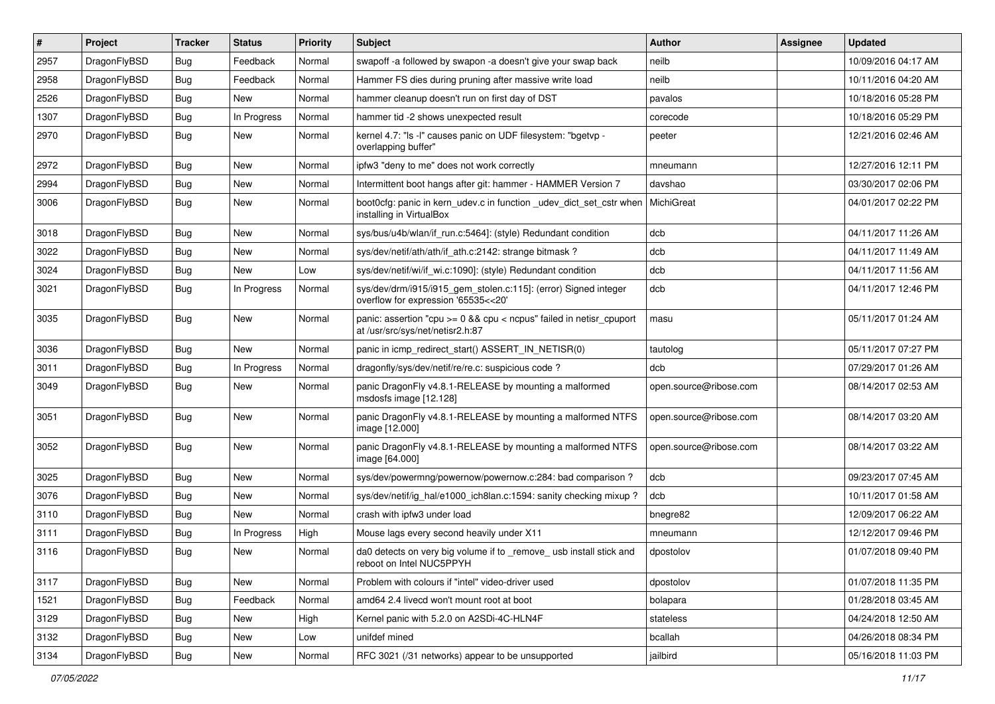| $\sharp$ | Project      | <b>Tracker</b> | <b>Status</b> | <b>Priority</b> | Subject                                                                                                 | Author                 | <b>Assignee</b> | <b>Updated</b>      |
|----------|--------------|----------------|---------------|-----------------|---------------------------------------------------------------------------------------------------------|------------------------|-----------------|---------------------|
| 2957     | DragonFlyBSD | <b>Bug</b>     | Feedback      | Normal          | swapoff -a followed by swapon -a doesn't give your swap back                                            | neilb                  |                 | 10/09/2016 04:17 AM |
| 2958     | DragonFlyBSD | <b>Bug</b>     | Feedback      | Normal          | Hammer FS dies during pruning after massive write load                                                  | neilb                  |                 | 10/11/2016 04:20 AM |
| 2526     | DragonFlyBSD | Bug            | New           | Normal          | hammer cleanup doesn't run on first day of DST                                                          | pavalos                |                 | 10/18/2016 05:28 PM |
| 1307     | DragonFlyBSD | Bug            | In Progress   | Normal          | hammer tid -2 shows unexpected result                                                                   | corecode               |                 | 10/18/2016 05:29 PM |
| 2970     | DragonFlyBSD | <b>Bug</b>     | New           | Normal          | kernel 4.7: "Is -I" causes panic on UDF filesystem: "bgetvp -<br>overlapping buffer"                    | peeter                 |                 | 12/21/2016 02:46 AM |
| 2972     | DragonFlyBSD | <b>Bug</b>     | New           | Normal          | ipfw3 "deny to me" does not work correctly                                                              | mneumann               |                 | 12/27/2016 12:11 PM |
| 2994     | DragonFlyBSD | Bug            | New           | Normal          | Intermittent boot hangs after git: hammer - HAMMER Version 7                                            | davshao                |                 | 03/30/2017 02:06 PM |
| 3006     | DragonFlyBSD | <b>Bug</b>     | New           | Normal          | boot0cfg: panic in kern_udev.c in function _udev_dict_set_cstr when<br>installing in VirtualBox         | MichiGreat             |                 | 04/01/2017 02:22 PM |
| 3018     | DragonFlyBSD | <b>Bug</b>     | New           | Normal          | sys/bus/u4b/wlan/if run.c:5464]: (style) Redundant condition                                            | dcb                    |                 | 04/11/2017 11:26 AM |
| 3022     | DragonFlyBSD | Bug            | New           | Normal          | sys/dev/netif/ath/ath/if ath.c:2142: strange bitmask?                                                   | dcb                    |                 | 04/11/2017 11:49 AM |
| 3024     | DragonFlyBSD | <b>Bug</b>     | New           | Low             | sys/dev/netif/wi/if_wi.c:1090]: (style) Redundant condition                                             | dcb                    |                 | 04/11/2017 11:56 AM |
| 3021     | DragonFlyBSD | <b>Bug</b>     | In Progress   | Normal          | sys/dev/drm/i915/i915_gem_stolen.c:115]: (error) Signed integer<br>overflow for expression '65535<<20'  | dcb                    |                 | 04/11/2017 12:46 PM |
| 3035     | DragonFlyBSD | Bug            | New           | Normal          | panic: assertion "cpu >= 0 && cpu < ncpus" failed in netisr_cpuport<br>at /usr/src/sys/net/netisr2.h:87 | masu                   |                 | 05/11/2017 01:24 AM |
| 3036     | DragonFlyBSD | <b>Bug</b>     | <b>New</b>    | Normal          | panic in icmp_redirect_start() ASSERT_IN_NETISR(0)                                                      | tautolog               |                 | 05/11/2017 07:27 PM |
| 3011     | DragonFlyBSD | Bug            | In Progress   | Normal          | dragonfly/sys/dev/netif/re/re.c: suspicious code?                                                       | dcb                    |                 | 07/29/2017 01:26 AM |
| 3049     | DragonFlyBSD | Bug            | New           | Normal          | panic DragonFly v4.8.1-RELEASE by mounting a malformed<br>msdosfs image [12.128]                        | open.source@ribose.com |                 | 08/14/2017 02:53 AM |
| 3051     | DragonFlyBSD | <b>Bug</b>     | New           | Normal          | panic DragonFly v4.8.1-RELEASE by mounting a malformed NTFS<br>image [12.000]                           | open.source@ribose.com |                 | 08/14/2017 03:20 AM |
| 3052     | DragonFlyBSD | <b>Bug</b>     | <b>New</b>    | Normal          | panic DragonFly v4.8.1-RELEASE by mounting a malformed NTFS<br>image [64.000]                           | open.source@ribose.com |                 | 08/14/2017 03:22 AM |
| 3025     | DragonFlyBSD | Bug            | <b>New</b>    | Normal          | sys/dev/powermng/powernow/powernow.c:284: bad comparison ?                                              | dcb                    |                 | 09/23/2017 07:45 AM |
| 3076     | DragonFlyBSD | Bug            | New           | Normal          | sys/dev/netif/ig_hal/e1000_ich8lan.c:1594: sanity checking mixup ?                                      | dcb                    |                 | 10/11/2017 01:58 AM |
| 3110     | DragonFlyBSD | Bug            | New           | Normal          | crash with ipfw3 under load                                                                             | bnegre82               |                 | 12/09/2017 06:22 AM |
| 3111     | DragonFlyBSD | Bug            | In Progress   | High            | Mouse lags every second heavily under X11                                                               | mneumann               |                 | 12/12/2017 09:46 PM |
| 3116     | DragonFlyBSD | Bug            | New           | Normal          | da0 detects on very big volume if to remove usb install stick and<br>reboot on Intel NUC5PPYH           | dpostolov              |                 | 01/07/2018 09:40 PM |
| 3117     | DragonFlyBSD | <b>Bug</b>     | New           | Normal          | Problem with colours if "intel" video-driver used                                                       | dpostolov              |                 | 01/07/2018 11:35 PM |
| 1521     | DragonFlyBSD | <b>Bug</b>     | Feedback      | Normal          | amd64 2.4 livecd won't mount root at boot                                                               | bolapara               |                 | 01/28/2018 03:45 AM |
| 3129     | DragonFlyBSD | Bug            | New           | High            | Kernel panic with 5.2.0 on A2SDi-4C-HLN4F                                                               | stateless              |                 | 04/24/2018 12:50 AM |
| 3132     | DragonFlyBSD | Bug            | New           | Low             | unifdef mined                                                                                           | bcallah                |                 | 04/26/2018 08:34 PM |
| 3134     | DragonFlyBSD | <b>Bug</b>     | New           | Normal          | RFC 3021 (/31 networks) appear to be unsupported                                                        | jailbird               |                 | 05/16/2018 11:03 PM |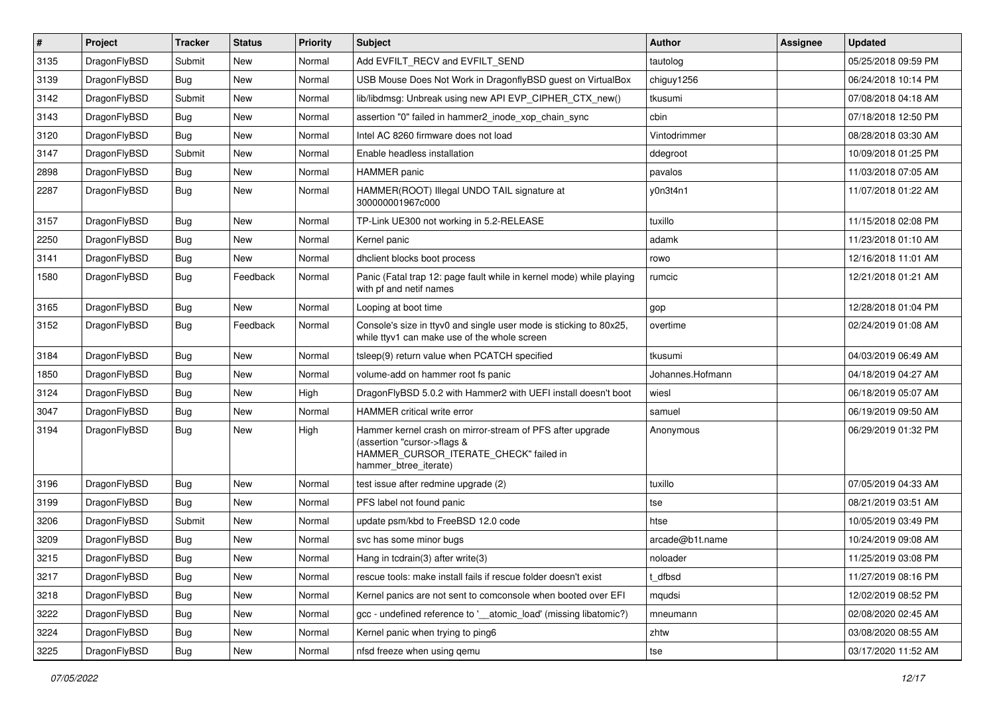| $\sharp$ | Project      | <b>Tracker</b> | <b>Status</b> | <b>Priority</b> | Subject                                                                                                                                                     | Author           | Assignee | <b>Updated</b>      |
|----------|--------------|----------------|---------------|-----------------|-------------------------------------------------------------------------------------------------------------------------------------------------------------|------------------|----------|---------------------|
| 3135     | DragonFlyBSD | Submit         | New           | Normal          | Add EVFILT_RECV and EVFILT_SEND                                                                                                                             | tautolog         |          | 05/25/2018 09:59 PM |
| 3139     | DragonFlyBSD | Bug            | New           | Normal          | USB Mouse Does Not Work in DragonflyBSD guest on VirtualBox                                                                                                 | chiguy1256       |          | 06/24/2018 10:14 PM |
| 3142     | DragonFlyBSD | Submit         | <b>New</b>    | Normal          | lib/libdmsg: Unbreak using new API EVP_CIPHER_CTX_new()                                                                                                     | tkusumi          |          | 07/08/2018 04:18 AM |
| 3143     | DragonFlyBSD | Bug            | New           | Normal          | assertion "0" failed in hammer2 inode xop chain sync                                                                                                        | cbin             |          | 07/18/2018 12:50 PM |
| 3120     | DragonFlyBSD | Bug            | <b>New</b>    | Normal          | Intel AC 8260 firmware does not load                                                                                                                        | Vintodrimmer     |          | 08/28/2018 03:30 AM |
| 3147     | DragonFlyBSD | Submit         | <b>New</b>    | Normal          | Enable headless installation                                                                                                                                | ddegroot         |          | 10/09/2018 01:25 PM |
| 2898     | DragonFlyBSD | Bug            | <b>New</b>    | Normal          | <b>HAMMER</b> panic                                                                                                                                         | pavalos          |          | 11/03/2018 07:05 AM |
| 2287     | DragonFlyBSD | Bug            | <b>New</b>    | Normal          | HAMMER(ROOT) Illegal UNDO TAIL signature at<br>300000001967c000                                                                                             | y0n3t4n1         |          | 11/07/2018 01:22 AM |
| 3157     | DragonFlyBSD | Bug            | <b>New</b>    | Normal          | TP-Link UE300 not working in 5.2-RELEASE                                                                                                                    | tuxillo          |          | 11/15/2018 02:08 PM |
| 2250     | DragonFlyBSD | Bug            | New           | Normal          | Kernel panic                                                                                                                                                | adamk            |          | 11/23/2018 01:10 AM |
| 3141     | DragonFlyBSD | Bug            | New           | Normal          | dhclient blocks boot process                                                                                                                                | rowo             |          | 12/16/2018 11:01 AM |
| 1580     | DragonFlyBSD | Bug            | Feedback      | Normal          | Panic (Fatal trap 12: page fault while in kernel mode) while playing<br>with pf and netif names                                                             | rumcic           |          | 12/21/2018 01:21 AM |
| 3165     | DragonFlyBSD | Bug            | <b>New</b>    | Normal          | Looping at boot time                                                                                                                                        | gop              |          | 12/28/2018 01:04 PM |
| 3152     | DragonFlyBSD | Bug            | Feedback      | Normal          | Console's size in ttyv0 and single user mode is sticking to 80x25,<br>while ttyv1 can make use of the whole screen                                          | overtime         |          | 02/24/2019 01:08 AM |
| 3184     | DragonFlyBSD | Bug            | New           | Normal          | tsleep(9) return value when PCATCH specified                                                                                                                | tkusumi          |          | 04/03/2019 06:49 AM |
| 1850     | DragonFlyBSD | <b>Bug</b>     | New           | Normal          | volume-add on hammer root fs panic                                                                                                                          | Johannes.Hofmann |          | 04/18/2019 04:27 AM |
| 3124     | DragonFlyBSD | Bug            | <b>New</b>    | High            | DragonFlyBSD 5.0.2 with Hammer2 with UEFI install doesn't boot                                                                                              | wiesl            |          | 06/18/2019 05:07 AM |
| 3047     | DragonFlyBSD | <b>Bug</b>     | New           | Normal          | HAMMER critical write error                                                                                                                                 | samuel           |          | 06/19/2019 09:50 AM |
| 3194     | DragonFlyBSD | Bug            | <b>New</b>    | High            | Hammer kernel crash on mirror-stream of PFS after upgrade<br>(assertion "cursor->flags &<br>HAMMER_CURSOR_ITERATE_CHECK" failed in<br>hammer_btree_iterate) | Anonymous        |          | 06/29/2019 01:32 PM |
| 3196     | DragonFlyBSD | Bug            | New           | Normal          | test issue after redmine upgrade (2)                                                                                                                        | tuxillo          |          | 07/05/2019 04:33 AM |
| 3199     | DragonFlyBSD | Bug            | <b>New</b>    | Normal          | PFS label not found panic                                                                                                                                   | tse              |          | 08/21/2019 03:51 AM |
| 3206     | DragonFlyBSD | Submit         | <b>New</b>    | Normal          | update psm/kbd to FreeBSD 12.0 code                                                                                                                         | htse             |          | 10/05/2019 03:49 PM |
| 3209     | DragonFlyBSD | Bug            | New           | Normal          | svc has some minor bugs                                                                                                                                     | arcade@b1t.name  |          | 10/24/2019 09:08 AM |
| 3215     | DragonFlyBSD | Bug            | <b>New</b>    | Normal          | Hang in todrain(3) after write(3)                                                                                                                           | noloader         |          | 11/25/2019 03:08 PM |
| 3217     | DragonFlyBSD | Bug            | <b>New</b>    | Normal          | rescue tools: make install fails if rescue folder doesn't exist                                                                                             | t_dfbsd          |          | 11/27/2019 08:16 PM |
| 3218     | DragonFlyBSD | Bug            | New           | Normal          | Kernel panics are not sent to comconsole when booted over EFI                                                                                               | mqudsi           |          | 12/02/2019 08:52 PM |
| 3222     | DragonFlyBSD | <b>Bug</b>     | New           | Normal          | gcc - undefined reference to '__atomic_load' (missing libatomic?)                                                                                           | mneumann         |          | 02/08/2020 02:45 AM |
| 3224     | DragonFlyBSD | Bug            | <b>New</b>    | Normal          | Kernel panic when trying to ping6                                                                                                                           | zhtw             |          | 03/08/2020 08:55 AM |
| 3225     | DragonFlyBSD | <b>Bug</b>     | New           | Normal          | nfsd freeze when using qemu                                                                                                                                 | tse              |          | 03/17/2020 11:52 AM |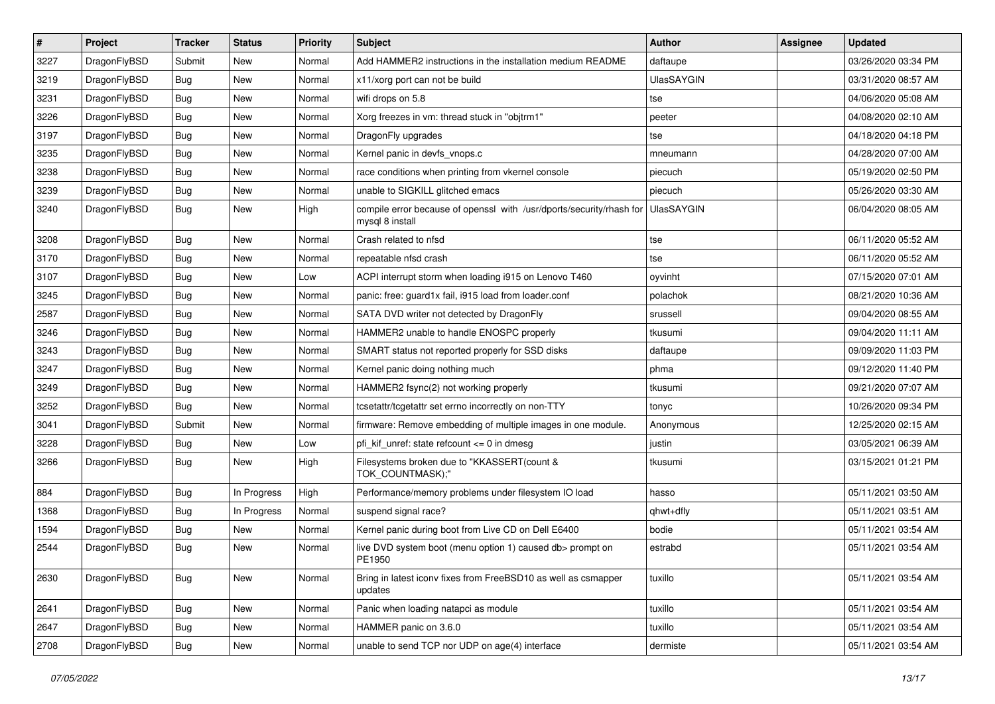| $\sharp$ | Project      | <b>Tracker</b> | <b>Status</b> | <b>Priority</b> | Subject                                                                                 | <b>Author</b>     | Assignee | <b>Updated</b>      |
|----------|--------------|----------------|---------------|-----------------|-----------------------------------------------------------------------------------------|-------------------|----------|---------------------|
| 3227     | DragonFlyBSD | Submit         | New           | Normal          | Add HAMMER2 instructions in the installation medium README                              | daftaupe          |          | 03/26/2020 03:34 PM |
| 3219     | DragonFlyBSD | Bug            | <b>New</b>    | Normal          | x11/xorg port can not be build                                                          | <b>UlasSAYGIN</b> |          | 03/31/2020 08:57 AM |
| 3231     | DragonFlyBSD | <b>Bug</b>     | <b>New</b>    | Normal          | wifi drops on 5.8                                                                       | tse               |          | 04/06/2020 05:08 AM |
| 3226     | DragonFlyBSD | <b>Bug</b>     | New           | Normal          | Xorg freezes in vm: thread stuck in "objtrm1"                                           | peeter            |          | 04/08/2020 02:10 AM |
| 3197     | DragonFlyBSD | Bug            | <b>New</b>    | Normal          | DragonFly upgrades                                                                      | tse               |          | 04/18/2020 04:18 PM |
| 3235     | DragonFlyBSD | <b>Bug</b>     | <b>New</b>    | Normal          | Kernel panic in devfs vnops.c                                                           | mneumann          |          | 04/28/2020 07:00 AM |
| 3238     | DragonFlyBSD | Bug            | New           | Normal          | race conditions when printing from vkernel console                                      | piecuch           |          | 05/19/2020 02:50 PM |
| 3239     | DragonFlyBSD | <b>Bug</b>     | <b>New</b>    | Normal          | unable to SIGKILL glitched emacs                                                        | piecuch           |          | 05/26/2020 03:30 AM |
| 3240     | DragonFlyBSD | <b>Bug</b>     | New           | High            | compile error because of openssl with /usr/dports/security/rhash for<br>mysql 8 install | <b>UlasSAYGIN</b> |          | 06/04/2020 08:05 AM |
| 3208     | DragonFlyBSD | <b>Bug</b>     | <b>New</b>    | Normal          | Crash related to nfsd                                                                   | tse               |          | 06/11/2020 05:52 AM |
| 3170     | DragonFlyBSD | <b>Bug</b>     | New           | Normal          | repeatable nfsd crash                                                                   | tse               |          | 06/11/2020 05:52 AM |
| 3107     | DragonFlyBSD | <b>Bug</b>     | <b>New</b>    | Low             | ACPI interrupt storm when loading i915 on Lenovo T460                                   | oyvinht           |          | 07/15/2020 07:01 AM |
| 3245     | DragonFlyBSD | <b>Bug</b>     | <b>New</b>    | Normal          | panic: free: guard1x fail, i915 load from loader.conf                                   | polachok          |          | 08/21/2020 10:36 AM |
| 2587     | DragonFlyBSD | <b>Bug</b>     | New           | Normal          | SATA DVD writer not detected by DragonFly                                               | srussell          |          | 09/04/2020 08:55 AM |
| 3246     | DragonFlyBSD | <b>Bug</b>     | <b>New</b>    | Normal          | HAMMER2 unable to handle ENOSPC properly                                                | tkusumi           |          | 09/04/2020 11:11 AM |
| 3243     | DragonFlyBSD | <b>Bug</b>     | New           | Normal          | SMART status not reported properly for SSD disks                                        | daftaupe          |          | 09/09/2020 11:03 PM |
| 3247     | DragonFlyBSD | <b>Bug</b>     | <b>New</b>    | Normal          | Kernel panic doing nothing much                                                         | phma              |          | 09/12/2020 11:40 PM |
| 3249     | DragonFlyBSD | <b>Bug</b>     | New           | Normal          | HAMMER2 fsync(2) not working properly                                                   | tkusumi           |          | 09/21/2020 07:07 AM |
| 3252     | DragonFlyBSD | <b>Bug</b>     | <b>New</b>    | Normal          | tcsetattr/tcgetattr set errno incorrectly on non-TTY                                    | tonyc             |          | 10/26/2020 09:34 PM |
| 3041     | DragonFlyBSD | Submit         | New           | Normal          | firmware: Remove embedding of multiple images in one module.                            | Anonymous         |          | 12/25/2020 02:15 AM |
| 3228     | DragonFlyBSD | <b>Bug</b>     | New           | Low             | pfi_kif_unref: state refcount <= 0 in dmesg                                             | justin            |          | 03/05/2021 06:39 AM |
| 3266     | DragonFlyBSD | <b>Bug</b>     | New           | High            | Filesystems broken due to "KKASSERT(count &<br>TOK_COUNTMASK);"                         | tkusumi           |          | 03/15/2021 01:21 PM |
| 884      | DragonFlyBSD | <b>Bug</b>     | In Progress   | High            | Performance/memory problems under filesystem IO load                                    | hasso             |          | 05/11/2021 03:50 AM |
| 1368     | DragonFlyBSD | <b>Bug</b>     | In Progress   | Normal          | suspend signal race?                                                                    | qhwt+dfly         |          | 05/11/2021 03:51 AM |
| 1594     | DragonFlyBSD | <b>Bug</b>     | <b>New</b>    | Normal          | Kernel panic during boot from Live CD on Dell E6400                                     | bodie             |          | 05/11/2021 03:54 AM |
| 2544     | DragonFlyBSD | <b>Bug</b>     | New           | Normal          | live DVD system boot (menu option 1) caused db> prompt on<br>PE1950                     | estrabd           |          | 05/11/2021 03:54 AM |
| 2630     | DragonFlyBSD | Bug            | <b>New</b>    | Normal          | Bring in latest iconv fixes from FreeBSD10 as well as csmapper<br>updates               | tuxillo           |          | 05/11/2021 03:54 AM |
| 2641     | DragonFlyBSD | Bug            | New           | Normal          | Panic when loading natapci as module                                                    | tuxillo           |          | 05/11/2021 03:54 AM |
| 2647     | DragonFlyBSD | <b>Bug</b>     | <b>New</b>    | Normal          | HAMMER panic on 3.6.0                                                                   | tuxillo           |          | 05/11/2021 03:54 AM |
| 2708     | DragonFlyBSD | Bug            | New           | Normal          | unable to send TCP nor UDP on age(4) interface                                          | dermiste          |          | 05/11/2021 03:54 AM |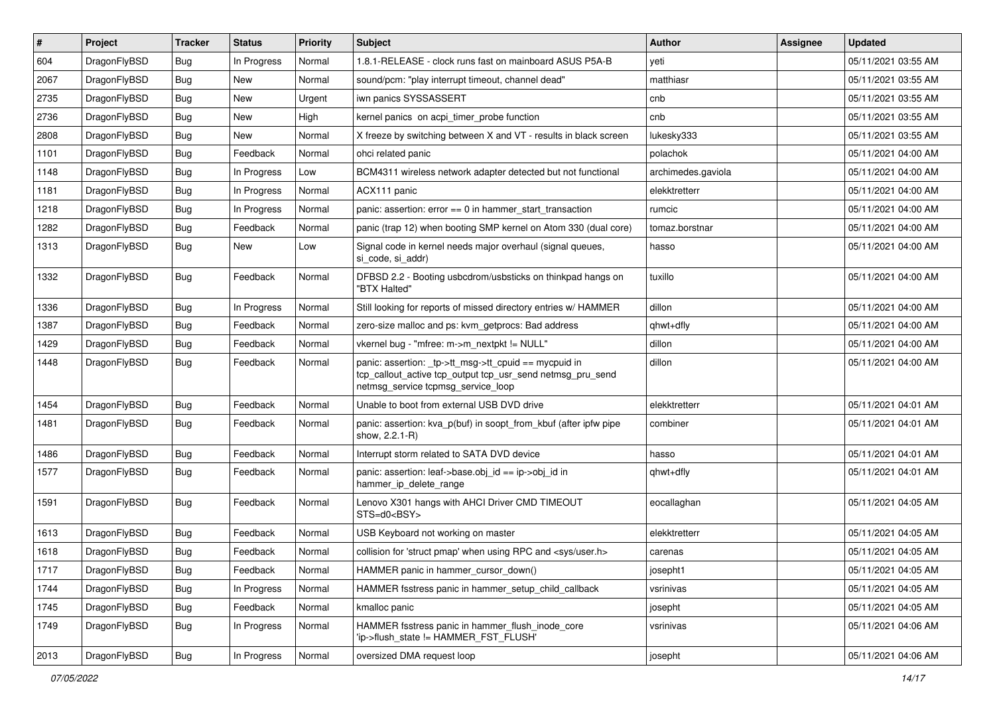| #    | Project      | <b>Tracker</b> | <b>Status</b> | <b>Priority</b> | <b>Subject</b>                                                                                                                                            | Author             | <b>Assignee</b> | <b>Updated</b>      |
|------|--------------|----------------|---------------|-----------------|-----------------------------------------------------------------------------------------------------------------------------------------------------------|--------------------|-----------------|---------------------|
| 604  | DragonFlyBSD | <b>Bug</b>     | In Progress   | Normal          | 1.8.1-RELEASE - clock runs fast on mainboard ASUS P5A-B                                                                                                   | yeti               |                 | 05/11/2021 03:55 AM |
| 2067 | DragonFlyBSD | <b>Bug</b>     | <b>New</b>    | Normal          | sound/pcm: "play interrupt timeout, channel dead"                                                                                                         | matthiasr          |                 | 05/11/2021 03:55 AM |
| 2735 | DragonFlyBSD | <b>Bug</b>     | New           | Urgent          | iwn panics SYSSASSERT                                                                                                                                     | cnb                |                 | 05/11/2021 03:55 AM |
| 2736 | DragonFlyBSD | Bug            | <b>New</b>    | High            | kernel panics on acpi_timer_probe function                                                                                                                | cnb                |                 | 05/11/2021 03:55 AM |
| 2808 | DragonFlyBSD | Bug            | <b>New</b>    | Normal          | X freeze by switching between X and VT - results in black screen                                                                                          | lukesky333         |                 | 05/11/2021 03:55 AM |
| 1101 | DragonFlyBSD | Bug            | Feedback      | Normal          | ohci related panic                                                                                                                                        | polachok           |                 | 05/11/2021 04:00 AM |
| 1148 | DragonFlyBSD | Bug            | In Progress   | Low             | BCM4311 wireless network adapter detected but not functional                                                                                              | archimedes.gaviola |                 | 05/11/2021 04:00 AM |
| 1181 | DragonFlyBSD | Bug            | In Progress   | Normal          | ACX111 panic                                                                                                                                              | elekktretterr      |                 | 05/11/2021 04:00 AM |
| 1218 | DragonFlyBSD | Bug            | In Progress   | Normal          | panic: assertion: $error == 0$ in hammer start transaction                                                                                                | rumcic             |                 | 05/11/2021 04:00 AM |
| 1282 | DragonFlyBSD | Bug            | Feedback      | Normal          | panic (trap 12) when booting SMP kernel on Atom 330 (dual core)                                                                                           | tomaz.borstnar     |                 | 05/11/2021 04:00 AM |
| 1313 | DragonFlyBSD | Bug            | New           | Low             | Signal code in kernel needs major overhaul (signal queues,<br>si_code, si_addr)                                                                           | hasso              |                 | 05/11/2021 04:00 AM |
| 1332 | DragonFlyBSD | <b>Bug</b>     | Feedback      | Normal          | DFBSD 2.2 - Booting usbcdrom/usbsticks on thinkpad hangs on<br>"BTX Halted"                                                                               | tuxillo            |                 | 05/11/2021 04:00 AM |
| 1336 | DragonFlyBSD | Bug            | In Progress   | Normal          | Still looking for reports of missed directory entries w/ HAMMER                                                                                           | dillon             |                 | 05/11/2021 04:00 AM |
| 1387 | DragonFlyBSD | Bug            | Feedback      | Normal          | zero-size malloc and ps: kvm_getprocs: Bad address                                                                                                        | qhwt+dfly          |                 | 05/11/2021 04:00 AM |
| 1429 | DragonFlyBSD | Bug            | Feedback      | Normal          | vkernel bug - "mfree: m->m_nextpkt != NULL"                                                                                                               | dillon             |                 | 05/11/2021 04:00 AM |
| 1448 | DragonFlyBSD | Bug            | Feedback      | Normal          | panic: assertion: _tp->tt_msg->tt_cpuid == mycpuid in<br>tcp_callout_active tcp_output tcp_usr_send netmsg_pru_send<br>netmsg_service tcpmsg_service_loop | dillon             |                 | 05/11/2021 04:00 AM |
| 1454 | DragonFlyBSD | <b>Bug</b>     | Feedback      | Normal          | Unable to boot from external USB DVD drive                                                                                                                | elekktretterr      |                 | 05/11/2021 04:01 AM |
| 1481 | DragonFlyBSD | Bug            | Feedback      | Normal          | panic: assertion: kva p(buf) in soopt from kbuf (after ipfw pipe<br>show, 2.2.1-R)                                                                        | combiner           |                 | 05/11/2021 04:01 AM |
| 1486 | DragonFlyBSD | Bug            | Feedback      | Normal          | Interrupt storm related to SATA DVD device                                                                                                                | hasso              |                 | 05/11/2021 04:01 AM |
| 1577 | DragonFlyBSD | Bug            | Feedback      | Normal          | panic: assertion: leaf->base.obj id == ip->obj id in<br>hammer_ip_delete_range                                                                            | qhwt+dfly          |                 | 05/11/2021 04:01 AM |
| 1591 | DragonFlyBSD | <b>Bug</b>     | Feedback      | Normal          | Lenovo X301 hangs with AHCI Driver CMD TIMEOUT<br>STS=d0 <bsy></bsy>                                                                                      | eocallaghan        |                 | 05/11/2021 04:05 AM |
| 1613 | DragonFlyBSD | Bug            | Feedback      | Normal          | USB Keyboard not working on master                                                                                                                        | elekktretterr      |                 | 05/11/2021 04:05 AM |
| 1618 | DragonFlyBSD | Bug            | Feedback      | Normal          | collision for 'struct pmap' when using RPC and <sys user.h=""></sys>                                                                                      | carenas            |                 | 05/11/2021 04:05 AM |
| 1717 | DragonFlyBSD | <b>Bug</b>     | Feedback      | Normal          | HAMMER panic in hammer_cursor_down()                                                                                                                      | josepht1           |                 | 05/11/2021 04:05 AM |
| 1744 | DragonFlyBSD | Bug            | In Progress   | Normal          | HAMMER fsstress panic in hammer_setup_child_callback                                                                                                      | vsrinivas          |                 | 05/11/2021 04:05 AM |
| 1745 | DragonFlyBSD | Bug            | Feedback      | Normal          | kmalloc panic                                                                                                                                             | josepht            |                 | 05/11/2021 04:05 AM |
| 1749 | DragonFlyBSD | <b>Bug</b>     | In Progress   | Normal          | HAMMER fsstress panic in hammer flush inode core<br>'ip->flush_state != HAMMER_FST_FLUSH'                                                                 | vsrinivas          |                 | 05/11/2021 04:06 AM |
| 2013 | DragonFlyBSD | <b>Bug</b>     | In Progress   | Normal          | oversized DMA request loop                                                                                                                                | josepht            |                 | 05/11/2021 04:06 AM |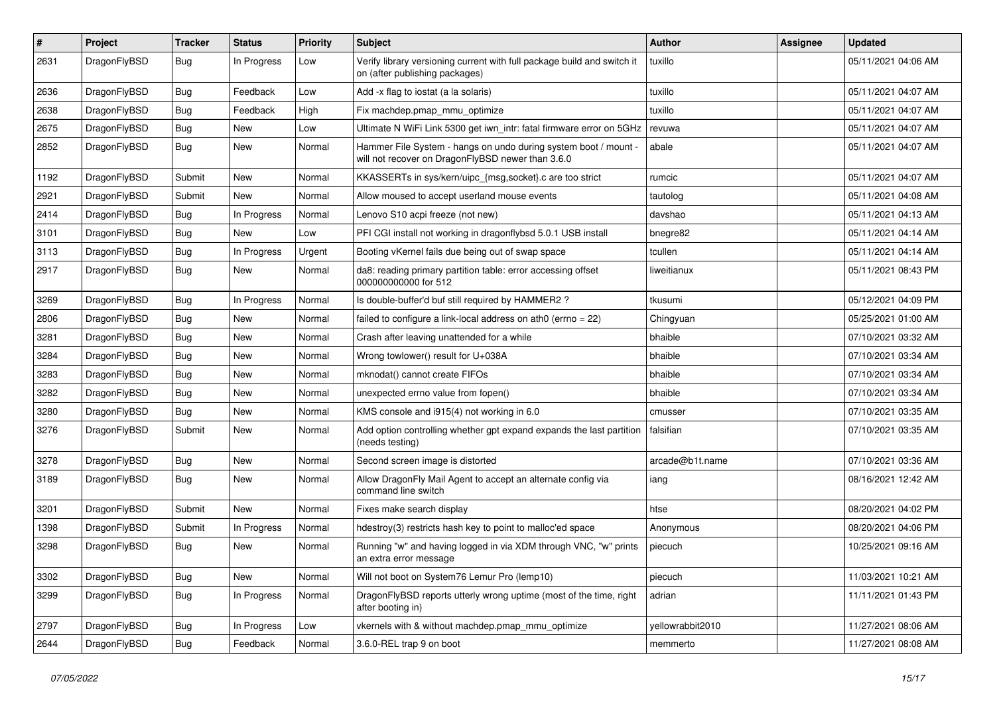| #    | Project      | <b>Tracker</b> | <b>Status</b> | <b>Priority</b> | Subject                                                                                                              | Author           | Assignee | <b>Updated</b>      |
|------|--------------|----------------|---------------|-----------------|----------------------------------------------------------------------------------------------------------------------|------------------|----------|---------------------|
| 2631 | DragonFlyBSD | Bug            | In Progress   | Low             | Verify library versioning current with full package build and switch it<br>on (after publishing packages)            | tuxillo          |          | 05/11/2021 04:06 AM |
| 2636 | DragonFlyBSD | Bug            | Feedback      | Low             | Add -x flag to iostat (a la solaris)                                                                                 | tuxillo          |          | 05/11/2021 04:07 AM |
| 2638 | DragonFlyBSD | Bug            | Feedback      | High            | Fix machdep.pmap mmu optimize                                                                                        | tuxillo          |          | 05/11/2021 04:07 AM |
| 2675 | DragonFlyBSD | Bug            | <b>New</b>    | Low             | Ultimate N WiFi Link 5300 get iwn_intr: fatal firmware error on 5GHz                                                 | revuwa           |          | 05/11/2021 04:07 AM |
| 2852 | DragonFlyBSD | Bug            | New           | Normal          | Hammer File System - hangs on undo during system boot / mount -<br>will not recover on DragonFlyBSD newer than 3.6.0 | abale            |          | 05/11/2021 04:07 AM |
| 1192 | DragonFlyBSD | Submit         | New           | Normal          | KKASSERTs in sys/kern/uipc {msg,socket}.c are too strict                                                             | rumcic           |          | 05/11/2021 04:07 AM |
| 2921 | DragonFlyBSD | Submit         | New           | Normal          | Allow moused to accept userland mouse events                                                                         | tautolog         |          | 05/11/2021 04:08 AM |
| 2414 | DragonFlyBSD | Bug            | In Progress   | Normal          | Lenovo S10 acpi freeze (not new)                                                                                     | davshao          |          | 05/11/2021 04:13 AM |
| 3101 | DragonFlyBSD | Bug            | New           | Low             | PFI CGI install not working in dragonflybsd 5.0.1 USB install                                                        | bnegre82         |          | 05/11/2021 04:14 AM |
| 3113 | DragonFlyBSD | <b>Bug</b>     | In Progress   | Urgent          | Booting vKernel fails due being out of swap space                                                                    | tcullen          |          | 05/11/2021 04:14 AM |
| 2917 | DragonFlyBSD | Bug            | New           | Normal          | da8: reading primary partition table: error accessing offset<br>000000000000 for 512                                 | liweitianux      |          | 05/11/2021 08:43 PM |
| 3269 | DragonFlyBSD | Bug            | In Progress   | Normal          | Is double-buffer'd buf still required by HAMMER2 ?                                                                   | tkusumi          |          | 05/12/2021 04:09 PM |
| 2806 | DragonFlyBSD | <b>Bug</b>     | New           | Normal          | failed to configure a link-local address on ath $0$ (errno = 22)                                                     | Chingyuan        |          | 05/25/2021 01:00 AM |
| 3281 | DragonFlyBSD | <b>Bug</b>     | New           | Normal          | Crash after leaving unattended for a while                                                                           | bhaible          |          | 07/10/2021 03:32 AM |
| 3284 | DragonFlyBSD | Bug            | New           | Normal          | Wrong towlower() result for U+038A                                                                                   | bhaible          |          | 07/10/2021 03:34 AM |
| 3283 | DragonFlyBSD | <b>Bug</b>     | New           | Normal          | mknodat() cannot create FIFOs                                                                                        | bhaible          |          | 07/10/2021 03:34 AM |
| 3282 | DragonFlyBSD | <b>Bug</b>     | <b>New</b>    | Normal          | unexpected errno value from fopen()                                                                                  | bhaible          |          | 07/10/2021 03:34 AM |
| 3280 | DragonFlyBSD | <b>Bug</b>     | New           | Normal          | KMS console and i915(4) not working in 6.0                                                                           | cmusser          |          | 07/10/2021 03:35 AM |
| 3276 | DragonFlyBSD | Submit         | New           | Normal          | Add option controlling whether gpt expand expands the last partition<br>(needs testing)                              | falsifian        |          | 07/10/2021 03:35 AM |
| 3278 | DragonFlyBSD | Bug            | <b>New</b>    | Normal          | Second screen image is distorted                                                                                     | arcade@b1t.name  |          | 07/10/2021 03:36 AM |
| 3189 | DragonFlyBSD | <b>Bug</b>     | New           | Normal          | Allow DragonFly Mail Agent to accept an alternate config via<br>command line switch                                  | iang             |          | 08/16/2021 12:42 AM |
| 3201 | DragonFlyBSD | Submit         | <b>New</b>    | Normal          | Fixes make search display                                                                                            | htse             |          | 08/20/2021 04:02 PM |
| 1398 | DragonFlyBSD | Submit         | In Progress   | Normal          | hdestroy(3) restricts hash key to point to malloc'ed space                                                           | Anonymous        |          | 08/20/2021 04:06 PM |
| 3298 | DragonFlyBSD | Bug            | New           | Normal          | Running "w" and having logged in via XDM through VNC, "w" prints<br>an extra error message                           | piecuch          |          | 10/25/2021 09:16 AM |
| 3302 | DragonFlyBSD | <b>Bug</b>     | New           | Normal          | Will not boot on System76 Lemur Pro (lemp10)                                                                         | piecuch          |          | 11/03/2021 10:21 AM |
| 3299 | DragonFlyBSD | <b>Bug</b>     | In Progress   | Normal          | DragonFlyBSD reports utterly wrong uptime (most of the time, right<br>after booting in)                              | adrian           |          | 11/11/2021 01:43 PM |
| 2797 | DragonFlyBSD | <b>Bug</b>     | In Progress   | Low             | vkernels with & without machdep.pmap_mmu_optimize                                                                    | yellowrabbit2010 |          | 11/27/2021 08:06 AM |
| 2644 | DragonFlyBSD | Bug            | Feedback      | Normal          | 3.6.0-REL trap 9 on boot                                                                                             | memmerto         |          | 11/27/2021 08:08 AM |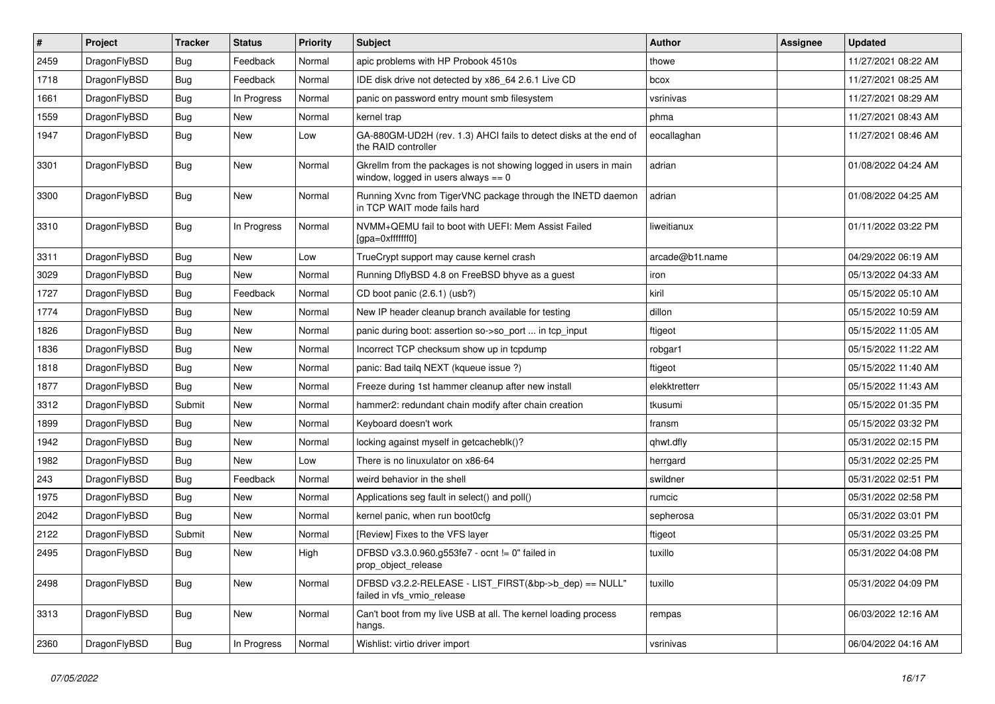| $\#$ | Project      | <b>Tracker</b> | <b>Status</b> | <b>Priority</b> | <b>Subject</b>                                                                                            | Author          | Assignee | <b>Updated</b>      |
|------|--------------|----------------|---------------|-----------------|-----------------------------------------------------------------------------------------------------------|-----------------|----------|---------------------|
| 2459 | DragonFlyBSD | <b>Bug</b>     | Feedback      | Normal          | apic problems with HP Probook 4510s                                                                       | thowe           |          | 11/27/2021 08:22 AM |
| 1718 | DragonFlyBSD | <b>Bug</b>     | Feedback      | Normal          | IDE disk drive not detected by x86_64 2.6.1 Live CD                                                       | bcox            |          | 11/27/2021 08:25 AM |
| 1661 | DragonFlyBSD | <b>Bug</b>     | In Progress   | Normal          | panic on password entry mount smb filesystem                                                              | vsrinivas       |          | 11/27/2021 08:29 AM |
| 1559 | DragonFlyBSD | <b>Bug</b>     | New           | Normal          | kernel trap                                                                                               | phma            |          | 11/27/2021 08:43 AM |
| 1947 | DragonFlyBSD | <b>Bug</b>     | New           | Low             | GA-880GM-UD2H (rev. 1.3) AHCI fails to detect disks at the end of<br>the RAID controller                  | eocallaghan     |          | 11/27/2021 08:46 AM |
| 3301 | DragonFlyBSD | <b>Bug</b>     | New           | Normal          | Gkrellm from the packages is not showing logged in users in main<br>window, logged in users always $== 0$ | adrian          |          | 01/08/2022 04:24 AM |
| 3300 | DragonFlyBSD | <b>Bug</b>     | New           | Normal          | Running Xvnc from TigerVNC package through the INETD daemon<br>in TCP WAIT mode fails hard                | adrian          |          | 01/08/2022 04:25 AM |
| 3310 | DragonFlyBSD | <b>Bug</b>     | In Progress   | Normal          | NVMM+QEMU fail to boot with UEFI: Mem Assist Failed<br>[gpa=0xfffffff0]                                   | liweitianux     |          | 01/11/2022 03:22 PM |
| 3311 | DragonFlyBSD | Bug            | New           | Low             | TrueCrypt support may cause kernel crash                                                                  | arcade@b1t.name |          | 04/29/2022 06:19 AM |
| 3029 | DragonFlyBSD | <b>Bug</b>     | New           | Normal          | Running DflyBSD 4.8 on FreeBSD bhyve as a guest                                                           | iron            |          | 05/13/2022 04:33 AM |
| 1727 | DragonFlyBSD | <b>Bug</b>     | Feedback      | Normal          | CD boot panic (2.6.1) (usb?)                                                                              | kiril           |          | 05/15/2022 05:10 AM |
| 1774 | DragonFlyBSD | Bug            | New           | Normal          | New IP header cleanup branch available for testing                                                        | dillon          |          | 05/15/2022 10:59 AM |
| 1826 | DragonFlyBSD | Bug            | New           | Normal          | panic during boot: assertion so->so_port  in tcp_input                                                    | ftigeot         |          | 05/15/2022 11:05 AM |
| 1836 | DragonFlyBSD | <b>Bug</b>     | New           | Normal          | Incorrect TCP checksum show up in tcpdump                                                                 | robgar1         |          | 05/15/2022 11:22 AM |
| 1818 | DragonFlyBSD | <b>Bug</b>     | New           | Normal          | panic: Bad tailg NEXT (kqueue issue ?)                                                                    | ftigeot         |          | 05/15/2022 11:40 AM |
| 1877 | DragonFlyBSD | <b>Bug</b>     | New           | Normal          | Freeze during 1st hammer cleanup after new install                                                        | elekktretterr   |          | 05/15/2022 11:43 AM |
| 3312 | DragonFlyBSD | Submit         | New           | Normal          | hammer2: redundant chain modify after chain creation                                                      | tkusumi         |          | 05/15/2022 01:35 PM |
| 1899 | DragonFlyBSD | <b>Bug</b>     | New           | Normal          | Keyboard doesn't work                                                                                     | fransm          |          | 05/15/2022 03:32 PM |
| 1942 | DragonFlyBSD | <b>Bug</b>     | New           | Normal          | locking against myself in getcacheblk()?                                                                  | qhwt.dfly       |          | 05/31/2022 02:15 PM |
| 1982 | DragonFlyBSD | Bug            | New           | Low             | There is no linuxulator on x86-64                                                                         | herrgard        |          | 05/31/2022 02:25 PM |
| 243  | DragonFlyBSD | Bug            | Feedback      | Normal          | weird behavior in the shell                                                                               | swildner        |          | 05/31/2022 02:51 PM |
| 1975 | DragonFlyBSD | <b>Bug</b>     | New           | Normal          | Applications seg fault in select() and poll()                                                             | rumcic          |          | 05/31/2022 02:58 PM |
| 2042 | DragonFlyBSD | <b>Bug</b>     | New           | Normal          | kernel panic, when run boot0cfg                                                                           | sepherosa       |          | 05/31/2022 03:01 PM |
| 2122 | DragonFlyBSD | Submit         | New           | Normal          | [Review] Fixes to the VFS layer                                                                           | ftigeot         |          | 05/31/2022 03:25 PM |
| 2495 | DragonFlyBSD | <b>Bug</b>     | New           | High            | DFBSD v3.3.0.960.g553fe7 - ocnt != 0" failed in<br>prop_object_release                                    | tuxillo         |          | 05/31/2022 04:08 PM |
| 2498 | DragonFlyBSD | <b>Bug</b>     | New           | Normal          | DFBSD v3.2.2-RELEASE - LIST_FIRST(&bp->b_dep) == NULL"<br>failed in vfs_vmio_release                      | tuxillo         |          | 05/31/2022 04:09 PM |
| 3313 | DragonFlyBSD | <b>Bug</b>     | New           | Normal          | Can't boot from my live USB at all. The kernel loading process<br>hangs.                                  | rempas          |          | 06/03/2022 12:16 AM |
| 2360 | DragonFlyBSD | <b>Bug</b>     | In Progress   | Normal          | Wishlist: virtio driver import                                                                            | vsrinivas       |          | 06/04/2022 04:16 AM |